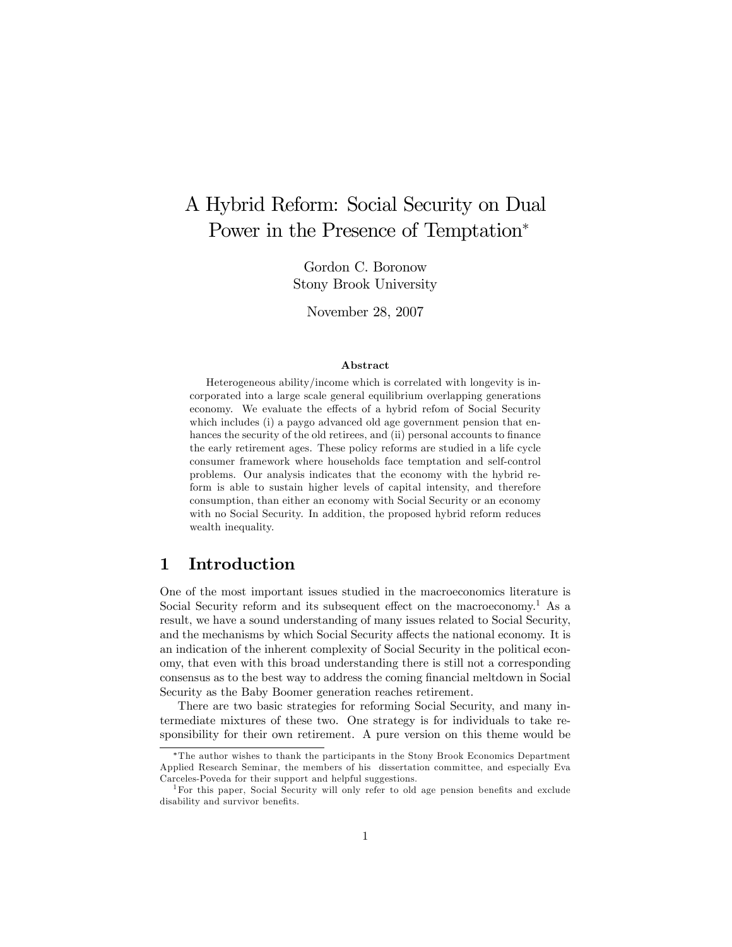# A Hybrid Reform: Social Security on Dual Power in the Presence of Temptation<sup>\*</sup>

Gordon C. Boronow Stony Brook University

November 28, 2007

#### Abstract

Heterogeneous ability/income which is correlated with longevity is incorporated into a large scale general equilibrium overlapping generations economy. We evaluate the effects of a hybrid refom of Social Security which includes (i) a paygo advanced old age government pension that enhances the security of the old retirees, and (ii) personal accounts to finance the early retirement ages. These policy reforms are studied in a life cycle consumer framework where households face temptation and self-control problems. Our analysis indicates that the economy with the hybrid reform is able to sustain higher levels of capital intensity, and therefore consumption, than either an economy with Social Security or an economy with no Social Security. In addition, the proposed hybrid reform reduces wealth inequality.

# 1 Introduction

One of the most important issues studied in the macroeconomics literature is Social Security reform and its subsequent effect on the macroeconomy.<sup>1</sup> As a result, we have a sound understanding of many issues related to Social Security, and the mechanisms by which Social Security affects the national economy. It is an indication of the inherent complexity of Social Security in the political economy, that even with this broad understanding there is still not a corresponding consensus as to the best way to address the coming Önancial meltdown in Social Security as the Baby Boomer generation reaches retirement.

There are two basic strategies for reforming Social Security, and many intermediate mixtures of these two. One strategy is for individuals to take responsibility for their own retirement. A pure version on this theme would be

The author wishes to thank the participants in the Stony Brook Economics Department Applied Research Seminar, the members of his dissertation committee, and especially Eva Carceles-Poveda for their support and helpful suggestions.

<sup>&</sup>lt;sup>1</sup>For this paper, Social Security will only refer to old age pension benefits and exclude disability and survivor benefits.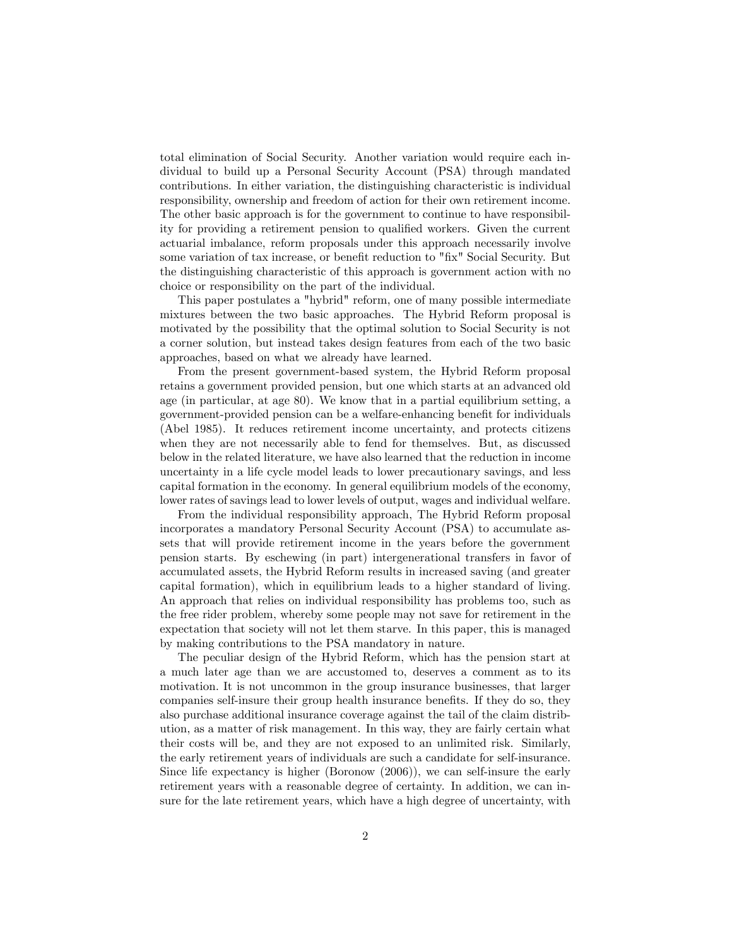total elimination of Social Security. Another variation would require each individual to build up a Personal Security Account (PSA) through mandated contributions. In either variation, the distinguishing characteristic is individual responsibility, ownership and freedom of action for their own retirement income. The other basic approach is for the government to continue to have responsibility for providing a retirement pension to qualified workers. Given the current actuarial imbalance, reform proposals under this approach necessarily involve some variation of tax increase, or benefit reduction to "fix" Social Security. But the distinguishing characteristic of this approach is government action with no choice or responsibility on the part of the individual.

This paper postulates a "hybrid" reform, one of many possible intermediate mixtures between the two basic approaches. The Hybrid Reform proposal is motivated by the possibility that the optimal solution to Social Security is not a corner solution, but instead takes design features from each of the two basic approaches, based on what we already have learned.

From the present government-based system, the Hybrid Reform proposal retains a government provided pension, but one which starts at an advanced old age (in particular, at age 80). We know that in a partial equilibrium setting, a government-provided pension can be a welfare-enhancing benefit for individuals (Abel 1985). It reduces retirement income uncertainty, and protects citizens when they are not necessarily able to fend for themselves. But, as discussed below in the related literature, we have also learned that the reduction in income uncertainty in a life cycle model leads to lower precautionary savings, and less capital formation in the economy. In general equilibrium models of the economy, lower rates of savings lead to lower levels of output, wages and individual welfare.

From the individual responsibility approach, The Hybrid Reform proposal incorporates a mandatory Personal Security Account (PSA) to accumulate assets that will provide retirement income in the years before the government pension starts. By eschewing (in part) intergenerational transfers in favor of accumulated assets, the Hybrid Reform results in increased saving (and greater capital formation), which in equilibrium leads to a higher standard of living. An approach that relies on individual responsibility has problems too, such as the free rider problem, whereby some people may not save for retirement in the expectation that society will not let them starve. In this paper, this is managed by making contributions to the PSA mandatory in nature.

The peculiar design of the Hybrid Reform, which has the pension start at a much later age than we are accustomed to, deserves a comment as to its motivation. It is not uncommon in the group insurance businesses, that larger companies self-insure their group health insurance benefits. If they do so, they also purchase additional insurance coverage against the tail of the claim distribution, as a matter of risk management. In this way, they are fairly certain what their costs will be, and they are not exposed to an unlimited risk. Similarly, the early retirement years of individuals are such a candidate for self-insurance. Since life expectancy is higher (Boronow (2006)), we can self-insure the early retirement years with a reasonable degree of certainty. In addition, we can insure for the late retirement years, which have a high degree of uncertainty, with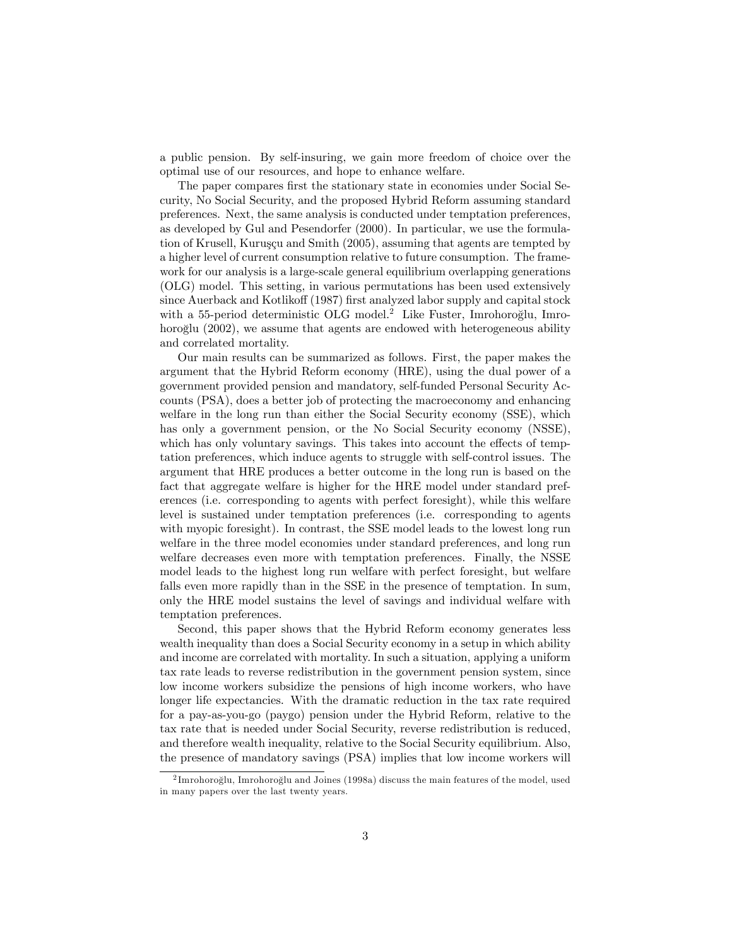a public pension. By self-insuring, we gain more freedom of choice over the optimal use of our resources, and hope to enhance welfare.

The paper compares first the stationary state in economies under Social Security, No Social Security, and the proposed Hybrid Reform assuming standard preferences. Next, the same analysis is conducted under temptation preferences, as developed by Gul and Pesendorfer (2000). In particular, we use the formulation of Krusell, Kuruşçu and Smith (2005), assuming that agents are tempted by a higher level of current consumption relative to future consumption. The framework for our analysis is a large-scale general equilibrium overlapping generations (OLG) model. This setting, in various permutations has been used extensively since Auerback and Kotlikoff (1987) first analyzed labor supply and capital stock with a 55-period deterministic OLG model.<sup>2</sup> Like Fuster, Imrohoroglu, Imrohoroglu (2002), we assume that agents are endowed with heterogeneous ability and correlated mortality.

Our main results can be summarized as follows. First, the paper makes the argument that the Hybrid Reform economy (HRE), using the dual power of a government provided pension and mandatory, self-funded Personal Security Accounts (PSA), does a better job of protecting the macroeconomy and enhancing welfare in the long run than either the Social Security economy (SSE), which has only a government pension, or the No Social Security economy (NSSE), which has only voluntary savings. This takes into account the effects of temptation preferences, which induce agents to struggle with self-control issues. The argument that HRE produces a better outcome in the long run is based on the fact that aggregate welfare is higher for the HRE model under standard preferences (i.e. corresponding to agents with perfect foresight), while this welfare level is sustained under temptation preferences (i.e. corresponding to agents with myopic foresight). In contrast, the SSE model leads to the lowest long run welfare in the three model economies under standard preferences, and long run welfare decreases even more with temptation preferences. Finally, the NSSE model leads to the highest long run welfare with perfect foresight, but welfare falls even more rapidly than in the SSE in the presence of temptation. In sum, only the HRE model sustains the level of savings and individual welfare with temptation preferences.

Second, this paper shows that the Hybrid Reform economy generates less wealth inequality than does a Social Security economy in a setup in which ability and income are correlated with mortality. In such a situation, applying a uniform tax rate leads to reverse redistribution in the government pension system, since low income workers subsidize the pensions of high income workers, who have longer life expectancies. With the dramatic reduction in the tax rate required for a pay-as-you-go (paygo) pension under the Hybrid Reform, relative to the tax rate that is needed under Social Security, reverse redistribution is reduced, and therefore wealth inequality, relative to the Social Security equilibrium. Also, the presence of mandatory savings (PSA) implies that low income workers will

 $^2$ Imrohoroğlu, Imrohoroğlu and Joines (1998a) discuss the main features of the model, used in many papers over the last twenty years.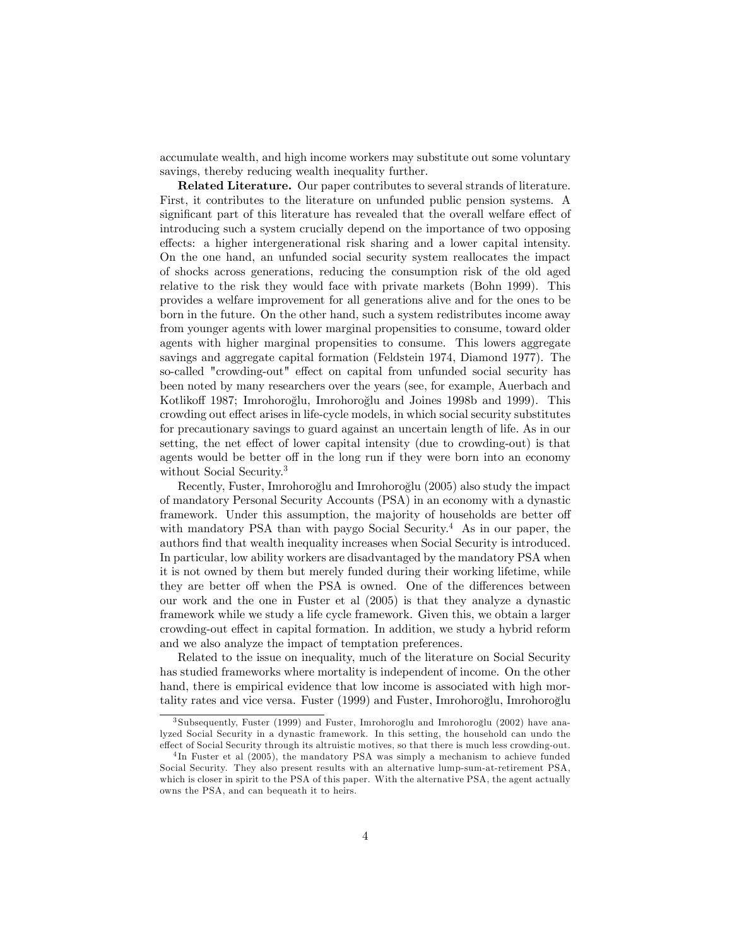accumulate wealth, and high income workers may substitute out some voluntary savings, thereby reducing wealth inequality further.

Related Literature. Our paper contributes to several strands of literature. First, it contributes to the literature on unfunded public pension systems. A significant part of this literature has revealed that the overall welfare effect of introducing such a system crucially depend on the importance of two opposing effects: a higher intergenerational risk sharing and a lower capital intensity. On the one hand, an unfunded social security system reallocates the impact of shocks across generations, reducing the consumption risk of the old aged relative to the risk they would face with private markets (Bohn 1999). This provides a welfare improvement for all generations alive and for the ones to be born in the future. On the other hand, such a system redistributes income away from younger agents with lower marginal propensities to consume, toward older agents with higher marginal propensities to consume. This lowers aggregate savings and aggregate capital formation (Feldstein 1974, Diamond 1977). The so-called "crowding-out" effect on capital from unfunded social security has been noted by many researchers over the years (see, for example, Auerbach and Kotlikoff 1987; Imrohoroğlu, Imrohoroğlu and Joines 1998b and 1999). This crowding out effect arises in life-cycle models, in which social security substitutes for precautionary savings to guard against an uncertain length of life. As in our setting, the net effect of lower capital intensity (due to crowding-out) is that agents would be better off in the long run if they were born into an economy without Social Security.<sup>3</sup>

Recently, Fuster, Imrohoroğlu and Imrohoroğlu (2005) also study the impact of mandatory Personal Security Accounts (PSA) in an economy with a dynastic framework. Under this assumption, the majority of households are better of with mandatory PSA than with paygo Social Security.<sup>4</sup> As in our paper, the authors Önd that wealth inequality increases when Social Security is introduced. In particular, low ability workers are disadvantaged by the mandatory PSA when it is not owned by them but merely funded during their working lifetime, while they are better off when the PSA is owned. One of the differences between our work and the one in Fuster et al (2005) is that they analyze a dynastic framework while we study a life cycle framework. Given this, we obtain a larger crowding-out effect in capital formation. In addition, we study a hybrid reform and we also analyze the impact of temptation preferences.

Related to the issue on inequality, much of the literature on Social Security has studied frameworks where mortality is independent of income. On the other hand, there is empirical evidence that low income is associated with high mortality rates and vice versa. Fuster  $(1999)$  and Fuster, Imrohoroglu, Imrohoroglu

 $3$  Subsequently, Fuster (1999) and Fuster, Imrohoroğlu and Imrohoroğlu (2002) have analyzed Social Security in a dynastic framework. In this setting, the household can undo the effect of Social Security through its altruistic motives, so that there is much less crowding-out.

<sup>4</sup> In Fuster et al (2005), the mandatory PSA was simply a mechanism to achieve funded Social Security. They also present results with an alternative lump-sum-at-retirement PSA, which is closer in spirit to the PSA of this paper. With the alternative PSA, the agent actually owns the PSA, and can bequeath it to heirs.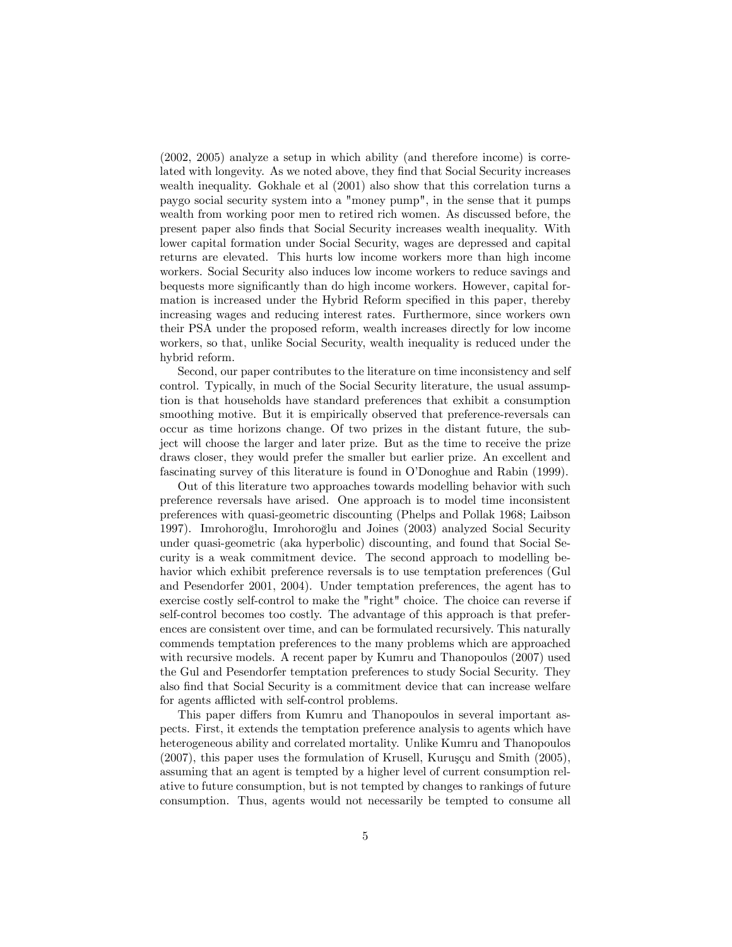(2002, 2005) analyze a setup in which ability (and therefore income) is correlated with longevity. As we noted above, they find that Social Security increases wealth inequality. Gokhale et al (2001) also show that this correlation turns a paygo social security system into a "money pump", in the sense that it pumps wealth from working poor men to retired rich women. As discussed before, the present paper also Önds that Social Security increases wealth inequality. With lower capital formation under Social Security, wages are depressed and capital returns are elevated. This hurts low income workers more than high income workers. Social Security also induces low income workers to reduce savings and bequests more significantly than do high income workers. However, capital formation is increased under the Hybrid Reform specified in this paper, thereby increasing wages and reducing interest rates. Furthermore, since workers own their PSA under the proposed reform, wealth increases directly for low income workers, so that, unlike Social Security, wealth inequality is reduced under the hybrid reform.

Second, our paper contributes to the literature on time inconsistency and self control. Typically, in much of the Social Security literature, the usual assumption is that households have standard preferences that exhibit a consumption smoothing motive. But it is empirically observed that preference-reversals can occur as time horizons change. Of two prizes in the distant future, the subject will choose the larger and later prize. But as the time to receive the prize draws closer, they would prefer the smaller but earlier prize. An excellent and fascinating survey of this literature is found in O'Donoghue and Rabin (1999).

Out of this literature two approaches towards modelling behavior with such preference reversals have arised. One approach is to model time inconsistent preferences with quasi-geometric discounting (Phelps and Pollak 1968; Laibson 1997). Imrohoroğlu, Imrohoroğlu and Joines (2003) analyzed Social Security under quasi-geometric (aka hyperbolic) discounting, and found that Social Security is a weak commitment device. The second approach to modelling behavior which exhibit preference reversals is to use temptation preferences (Gul and Pesendorfer 2001, 2004). Under temptation preferences, the agent has to exercise costly self-control to make the "right" choice. The choice can reverse if self-control becomes too costly. The advantage of this approach is that preferences are consistent over time, and can be formulated recursively. This naturally commends temptation preferences to the many problems which are approached with recursive models. A recent paper by Kumru and Thanopoulos (2007) used the Gul and Pesendorfer temptation preferences to study Social Security. They also Önd that Social Security is a commitment device that can increase welfare for agents afflicted with self-control problems.

This paper differs from Kumru and Thanopoulos in several important aspects. First, it extends the temptation preference analysis to agents which have heterogeneous ability and correlated mortality. Unlike Kumru and Thanopoulos  $(2007)$ , this paper uses the formulation of Krusell, Kuruşçu and Smith  $(2005)$ , assuming that an agent is tempted by a higher level of current consumption relative to future consumption, but is not tempted by changes to rankings of future consumption. Thus, agents would not necessarily be tempted to consume all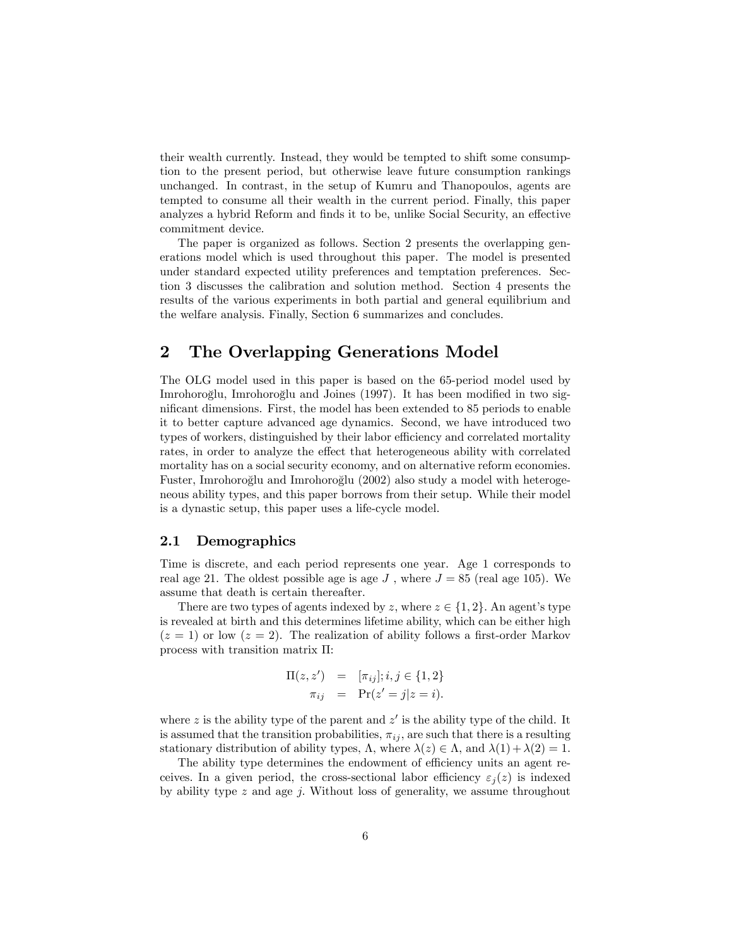their wealth currently. Instead, they would be tempted to shift some consumption to the present period, but otherwise leave future consumption rankings unchanged. In contrast, in the setup of Kumru and Thanopoulos, agents are tempted to consume all their wealth in the current period. Finally, this paper analyzes a hybrid Reform and finds it to be, unlike Social Security, an effective commitment device.

The paper is organized as follows. Section 2 presents the overlapping generations model which is used throughout this paper. The model is presented under standard expected utility preferences and temptation preferences. Section 3 discusses the calibration and solution method. Section 4 presents the results of the various experiments in both partial and general equilibrium and the welfare analysis. Finally, Section 6 summarizes and concludes.

# 2 The Overlapping Generations Model

The OLG model used in this paper is based on the 65-period model used by Imrohoroğlu, Imrohoroğlu and Joines (1997). It has been modified in two significant dimensions. First, the model has been extended to 85 periods to enable it to better capture advanced age dynamics. Second, we have introduced two types of workers, distinguished by their labor efficiency and correlated mortality rates, in order to analyze the effect that heterogeneous ability with correlated mortality has on a social security economy, and on alternative reform economies. Fuster, Imrohoroğlu and Imrohoroğlu (2002) also study a model with heterogeneous ability types, and this paper borrows from their setup. While their model is a dynastic setup, this paper uses a life-cycle model.

### 2.1 Demographics

Time is discrete, and each period represents one year. Age 1 corresponds to real age 21. The oldest possible age is age  $J$ , where  $J = 85$  (real age 105). We assume that death is certain thereafter.

There are two types of agents indexed by z, where  $z \in \{1, 2\}$ . An agent's type is revealed at birth and this determines lifetime ability, which can be either high  $(z = 1)$  or low  $(z = 2)$ . The realization of ability follows a first-order Markov process with transition matrix  $\Pi$ :

$$
\Pi(z, z') = [\pi_{ij}]; i, j \in \{1, 2\} \n\pi_{ij} = \Pr(z' = j | z = i).
$$

where z is the ability type of the parent and  $z'$  is the ability type of the child. It is assumed that the transition probabilities,  $\pi_{ij}$ , are such that there is a resulting stationary distribution of ability types,  $\Lambda$ , where  $\lambda(z) \in \Lambda$ , and  $\lambda(1) + \lambda(2) = 1$ .

The ability type determines the endowment of efficiency units an agent receives. In a given period, the cross-sectional labor efficiency  $\varepsilon_i(z)$  is indexed by ability type  $z$  and age  $i$ . Without loss of generality, we assume throughout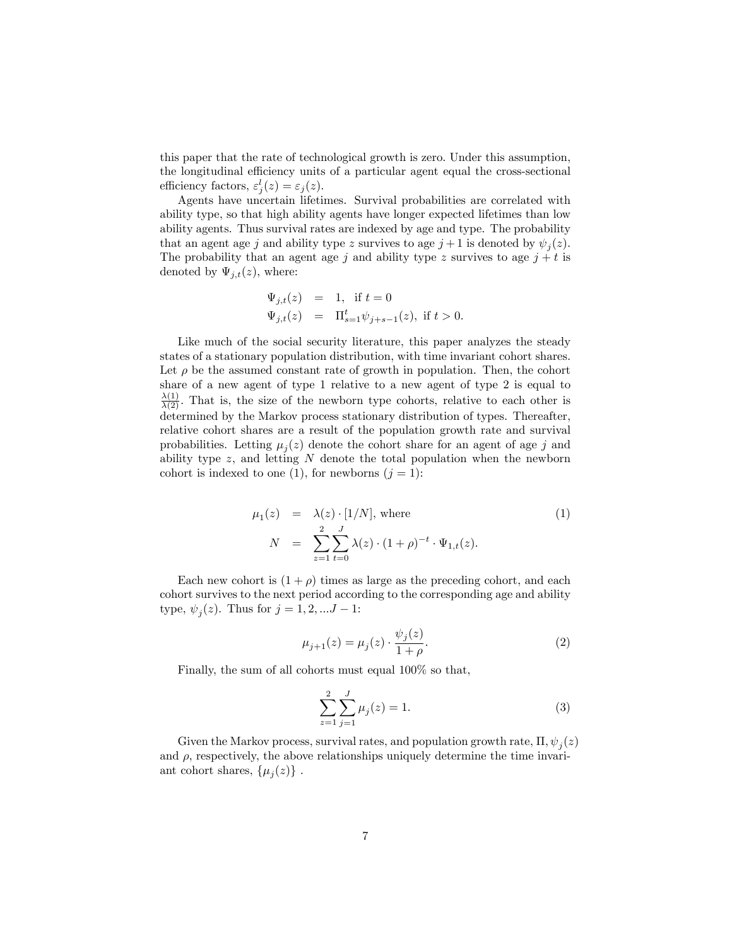this paper that the rate of technological growth is zero. Under this assumption, the longitudinal efficiency units of a particular agent equal the cross-sectional efficiency factors,  $\varepsilon_j^l(z) = \varepsilon_j(z)$ .

Agents have uncertain lifetimes. Survival probabilities are correlated with ability type, so that high ability agents have longer expected lifetimes than low ability agents. Thus survival rates are indexed by age and type. The probability that an agent age j and ability type z survives to age  $j+1$  is denoted by  $\psi_j(z)$ . The probability that an agent age j and ability type z survives to age  $j + t$  is denoted by  $\Psi_{j,t}(z)$ , where:

$$
\Psi_{j,t}(z) = 1, \text{ if } t = 0
$$
  

$$
\Psi_{j,t}(z) = \Pi_{s=1}^t \psi_{j+s-1}(z), \text{ if } t > 0.
$$

Like much of the social security literature, this paper analyzes the steady states of a stationary population distribution, with time invariant cohort shares. Let  $\rho$  be the assumed constant rate of growth in population. Then, the cohort share of a new agent of type 1 relative to a new agent of type 2 is equal to  $\frac{\lambda(1)}{\lambda(2)}$ . That is, the size of the newborn type cohorts, relative to each other is determined by the Markov process stationary distribution of types. Thereafter, relative cohort shares are a result of the population growth rate and survival probabilities. Letting  $\mu_j(z)$  denote the cohort share for an agent of age j and ability type  $z$ , and letting  $N$  denote the total population when the newborn cohort is indexed to one (1), for newborns  $(j = 1)$ :

$$
\mu_1(z) = \lambda(z) \cdot [1/N], \text{ where}
$$
\n
$$
N = \sum_{z=1}^{2} \sum_{t=0}^{J} \lambda(z) \cdot (1+\rho)^{-t} \cdot \Psi_{1,t}(z).
$$
\n(1)

Each new cohort is  $(1 + \rho)$  times as large as the preceding cohort, and each cohort survives to the next period according to the corresponding age and ability type,  $\psi_j(z)$ . Thus for  $j = 1, 2, ... J - 1$ :

$$
\mu_{j+1}(z) = \mu_j(z) \cdot \frac{\psi_j(z)}{1+\rho}.\tag{2}
$$

Finally, the sum of all cohorts must equal 100% so that,

$$
\sum_{z=1}^{2} \sum_{j=1}^{J} \mu_j(z) = 1.
$$
 (3)

Given the Markov process, survival rates, and population growth rate,  $\Pi$ ,  $\psi_j(z)$ and  $\rho$ , respectively, the above relationships uniquely determine the time invariant cohort shares,  $\{\mu_j(z)\}\.$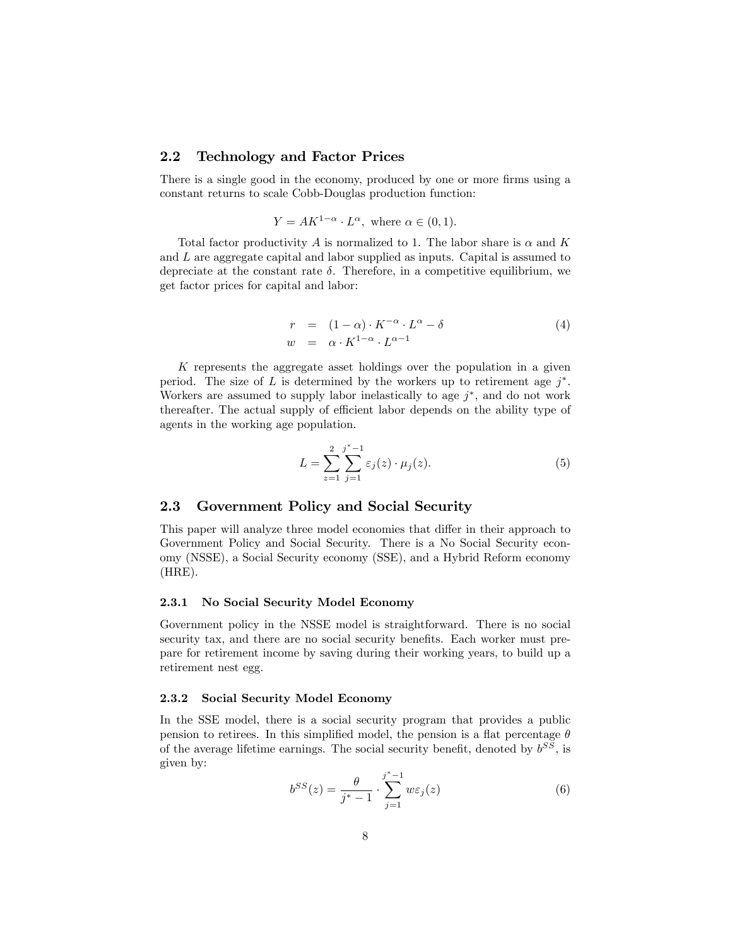# 2.2 Technology and Factor Prices

There is a single good in the economy, produced by one or more firms using a constant returns to scale Cobb-Douglas production function:

$$
Y = AK^{1-\alpha} \cdot L^{\alpha}, \text{ where } \alpha \in (0,1).
$$

Total factor productivity A is normalized to 1. The labor share is  $\alpha$  and K and L are aggregate capital and labor supplied as inputs. Capital is assumed to depreciate at the constant rate  $\delta$ . Therefore, in a competitive equilibrium, we get factor prices for capital and labor:

$$
r = (1 - \alpha) \cdot K^{-\alpha} \cdot L^{\alpha} - \delta
$$
  
\n
$$
w = \alpha \cdot K^{1 - \alpha} \cdot L^{\alpha - 1}
$$
\n(4)

K represents the aggregate asset holdings over the population in a given period. The size of L is determined by the workers up to retirement age  $j^*$ . Workers are assumed to supply labor inelastically to age  $j^*$ , and do not work thereafter. The actual supply of efficient labor depends on the ability type of agents in the working age population.

$$
L = \sum_{z=1}^{2} \sum_{j=1}^{j^*-1} \varepsilon_j(z) \cdot \mu_j(z).
$$
 (5)

# 2.3 Government Policy and Social Security

This paper will analyze three model economies that differ in their approach to Government Policy and Social Security. There is a No Social Security economy (NSSE), a Social Security economy (SSE), and a Hybrid Reform economy (HRE).

### 2.3.1 No Social Security Model Economy

Government policy in the NSSE model is straightforward. There is no social security tax, and there are no social security benefits. Each worker must prepare for retirement income by saving during their working years, to build up a retirement nest egg.

#### 2.3.2 Social Security Model Economy

In the SSE model, there is a social security program that provides a public pension to retirees. In this simplified model, the pension is a flat percentage  $\theta$ of the average lifetime earnings. The social security benefit, denoted by  $b^{SS}$ , is given by:

$$
b^{SS}(z) = \frac{\theta}{j^*-1} \cdot \sum_{j=1}^{j^*-1} w\varepsilon_j(z)
$$
 (6)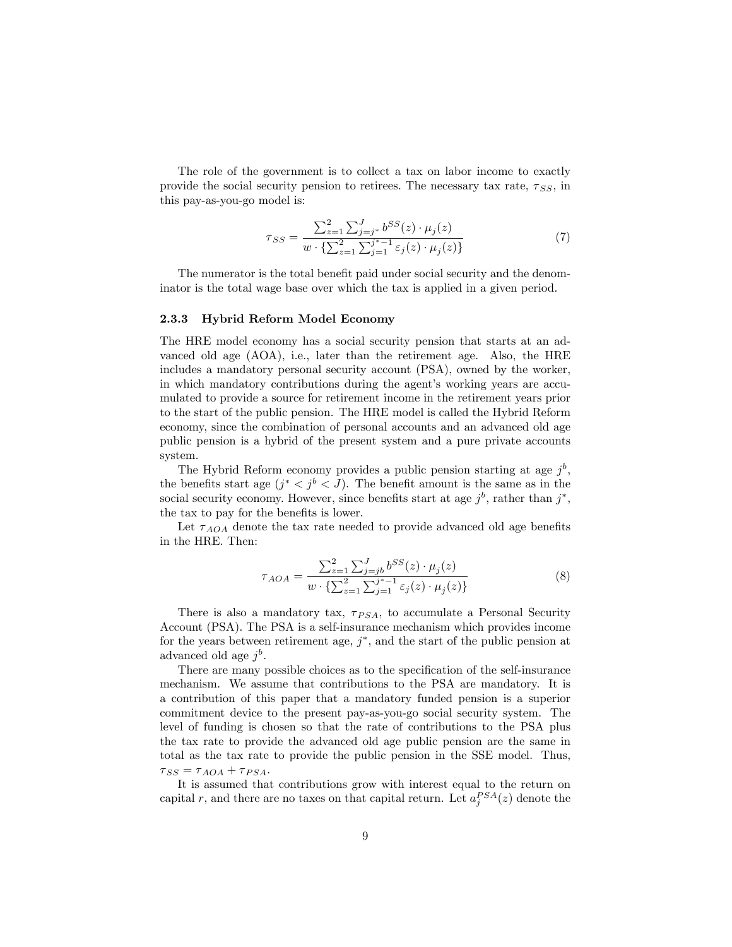The role of the government is to collect a tax on labor income to exactly provide the social security pension to retirees. The necessary tax rate,  $\tau_{SS}$ , in this pay-as-you-go model is:

$$
\tau_{SS} = \frac{\sum_{z=1}^{2} \sum_{j=j^{*}}^{J} b^{SS}(z) \cdot \mu_{j}(z)}{w \cdot \{\sum_{z=1}^{2} \sum_{j=1}^{j^{*}-1} \varepsilon_{j}(z) \cdot \mu_{j}(z)\}}
$$
(7)

The numerator is the total benefit paid under social security and the denominator is the total wage base over which the tax is applied in a given period.

#### 2.3.3 Hybrid Reform Model Economy

The HRE model economy has a social security pension that starts at an advanced old age (AOA), i.e., later than the retirement age. Also, the HRE includes a mandatory personal security account (PSA), owned by the worker, in which mandatory contributions during the agent's working years are accumulated to provide a source for retirement income in the retirement years prior to the start of the public pension. The HRE model is called the Hybrid Reform economy, since the combination of personal accounts and an advanced old age public pension is a hybrid of the present system and a pure private accounts system.

The Hybrid Reform economy provides a public pension starting at age  $j^b$ , the benefits start age  $(j^* < j^b < J)$ . The benefit amount is the same as in the social security economy. However, since benefits start at age  $j^b$ , rather than  $j^*$ , the tax to pay for the benefits is lower.

Let  $\tau_{AOA}$  denote the tax rate needed to provide advanced old age benefits in the HRE. Then:

$$
\tau_{AOA} = \frac{\sum_{z=1}^{2} \sum_{j=jb}^{J} b^{SS}(z) \cdot \mu_j(z)}{w \cdot {\sum_{z=1}^{2} \sum_{j=1}^{j^*-1} \varepsilon_j(z) \cdot \mu_j(z) }
$$
(8)

There is also a mandatory tax,  $\tau_{PSA}$ , to accumulate a Personal Security Account (PSA). The PSA is a self-insurance mechanism which provides income for the years between retirement age,  $j^*$ , and the start of the public pension at advanced old age  $j^b$ .

There are many possible choices as to the specification of the self-insurance mechanism. We assume that contributions to the PSA are mandatory. It is a contribution of this paper that a mandatory funded pension is a superior commitment device to the present pay-as-you-go social security system. The level of funding is chosen so that the rate of contributions to the PSA plus the tax rate to provide the advanced old age public pension are the same in total as the tax rate to provide the public pension in the SSE model. Thus,  $\tau_{SS} = \tau_{AOA} + \tau_{PSA}.$ 

It is assumed that contributions grow with interest equal to the return on capital r, and there are no taxes on that capital return. Let  $a_j^{PSA}(z)$  denote the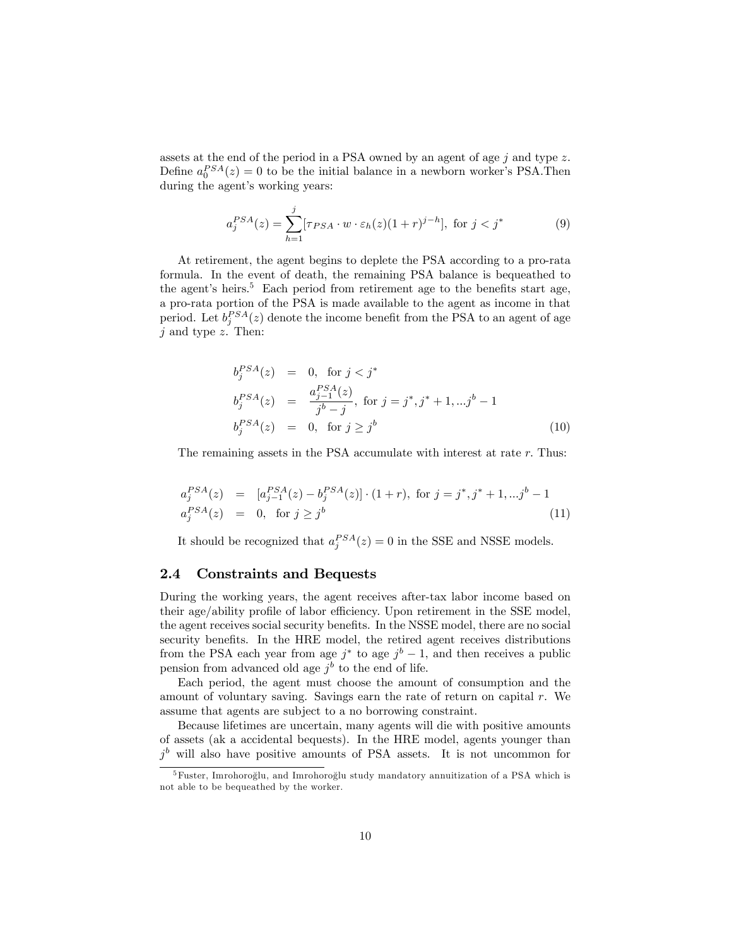assets at the end of the period in a PSA owned by an agent of age  $j$  and type  $z$ . Define  $a_0^{PSA}(z) = 0$  to be the initial balance in a newborn worker's PSA. Then during the agent's working years:

$$
a_j^{PSA}(z) = \sum_{h=1}^j [\tau_{PSA} \cdot w \cdot \varepsilon_h(z)(1+r)^{j-h}], \text{ for } j < j^*
$$
 (9)

At retirement, the agent begins to deplete the PSA according to a pro-rata formula. In the event of death, the remaining PSA balance is bequeathed to the agent's heirs.<sup>5</sup> Each period from retirement age to the benefits start age, a pro-rata portion of the PSA is made available to the agent as income in that period. Let  $b_j^{PSA}(z)$  denote the income benefit from the PSA to an agent of age  $j$  and type  $z$ . Then:

$$
b_j^{PSA}(z) = 0, \text{ for } j < j^*
$$
  
\n
$$
b_j^{PSA}(z) = \frac{a_{j-1}^{PSA}(z)}{j^b - j}, \text{ for } j = j^*, j^* + 1, \dots j^b - 1
$$
  
\n
$$
b_j^{PSA}(z) = 0, \text{ for } j \ge j^b
$$
  
\n(10)

The remaining assets in the PSA accumulate with interest at rate r. Thus:

$$
a_j^{PSA}(z) = [a_{j-1}^{PSA}(z) - b_j^{PSA}(z)] \cdot (1+r), \text{ for } j = j^*, j^* + 1, \dots j^b - 1
$$
  

$$
a_j^{PSA}(z) = 0, \text{ for } j \ge j^b
$$
 (11)

It should be recognized that  $a_j^{PSA}(z) = 0$  in the SSE and NSSE models.

### 2.4 Constraints and Bequests

During the working years, the agent receives after-tax labor income based on their age/ability profile of labor efficiency. Upon retirement in the SSE model, the agent receives social security benefits. In the NSSE model, there are no social security benefits. In the HRE model, the retired agent receives distributions from the PSA each year from age  $j^*$  to age  $j^b - 1$ , and then receives a public pension from advanced old age  $j^b$  to the end of life.

Each period, the agent must choose the amount of consumption and the amount of voluntary saving. Savings earn the rate of return on capital  $r$ . We assume that agents are subject to a no borrowing constraint.

Because lifetimes are uncertain, many agents will die with positive amounts of assets (ak a accidental bequests). In the HRE model, agents younger than  $j<sup>b</sup>$  will also have positive amounts of PSA assets. It is not uncommon for

 $5$ Fuster, Imrohoroğlu, and Imrohoroğlu study mandatory annuitization of a PSA which is not able to be bequeathed by the worker.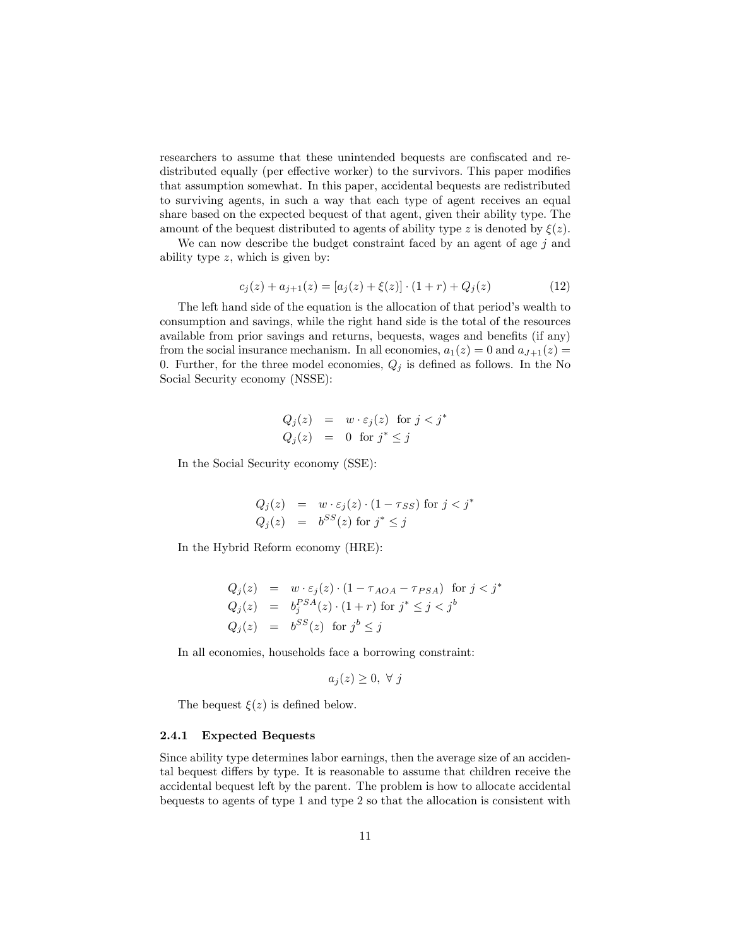researchers to assume that these unintended bequests are confiscated and redistributed equally (per effective worker) to the survivors. This paper modifies that assumption somewhat. In this paper, accidental bequests are redistributed to surviving agents, in such a way that each type of agent receives an equal share based on the expected bequest of that agent, given their ability type. The amount of the bequest distributed to agents of ability type z is denoted by  $\xi(z)$ .

We can now describe the budget constraint faced by an agent of age  $j$  and ability type  $z$ , which is given by:

$$
c_j(z) + a_{j+1}(z) = [a_j(z) + \xi(z)] \cdot (1+r) + Q_j(z)
$$
\n(12)

The left hand side of the equation is the allocation of that period's wealth to consumption and savings, while the right hand side is the total of the resources available from prior savings and returns, bequests, wages and benefits (if any) from the social insurance mechanism. In all economies,  $a_1(z) = 0$  and  $a_{J+1}(z) = 0$ 0. Further, for the three model economies,  $Q_j$  is defined as follows. In the No Social Security economy (NSSE):

$$
Q_j(z) = w \cdot \varepsilon_j(z) \text{ for } j < j^*
$$
  

$$
Q_j(z) = 0 \text{ for } j^* \le j
$$

In the Social Security economy (SSE):

$$
Q_j(z) = w \cdot \varepsilon_j(z) \cdot (1 - \tau_{SS}) \text{ for } j < j^*
$$
  

$$
Q_j(z) = b^{SS}(z) \text{ for } j^* \le j
$$

In the Hybrid Reform economy (HRE):

$$
Q_j(z) = w \cdot \varepsilon_j(z) \cdot (1 - \tau_{AOA} - \tau_{PSA}) \text{ for } j < j^*
$$
  
\n
$$
Q_j(z) = b_j^{PSA}(z) \cdot (1+r) \text{ for } j^* \le j < j^b
$$
  
\n
$$
Q_j(z) = b^{SS}(z) \text{ for } j^b \le j
$$

In all economies, households face a borrowing constraint:

$$
a_j(z) \geq 0, \ \forall \ j
$$

The bequest  $\xi(z)$  is defined below.

#### 2.4.1 Expected Bequests

Since ability type determines labor earnings, then the average size of an accidental bequest differs by type. It is reasonable to assume that children receive the accidental bequest left by the parent. The problem is how to allocate accidental bequests to agents of type 1 and type 2 so that the allocation is consistent with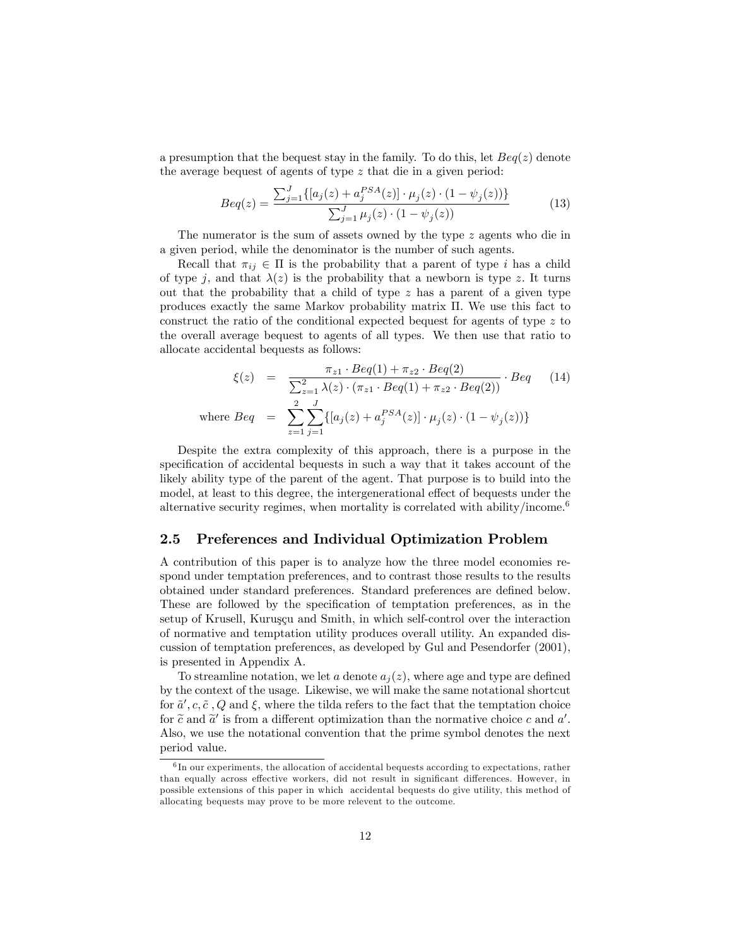a presumption that the bequest stay in the family. To do this, let  $Beq(z)$  denote the average bequest of agents of type z that die in a given period:

$$
Beq(z) = \frac{\sum_{j=1}^{J} \{ [a_j(z) + a_j^{PSA}(z)] \cdot \mu_j(z) \cdot (1 - \psi_j(z)) \}}{\sum_{j=1}^{J} \mu_j(z) \cdot (1 - \psi_j(z))}
$$
(13)

The numerator is the sum of assets owned by the type z agents who die in a given period, while the denominator is the number of such agents.

Recall that  $\pi_{ij} \in \Pi$  is the probability that a parent of type i has a child of type j, and that  $\lambda(z)$  is the probability that a newborn is type z. It turns out that the probability that a child of type  $z$  has a parent of a given type produces exactly the same Markov probability matrix  $\Pi$ . We use this fact to construct the ratio of the conditional expected bequest for agents of type z to the overall average bequest to agents of all types. We then use that ratio to allocate accidental bequests as follows:

$$
\xi(z) = \frac{\pi_{z1} \cdot Beq(1) + \pi_{z2} \cdot Beq(2)}{\sum_{z=1}^{2} \lambda(z) \cdot (\pi_{z1} \cdot Beq(1) + \pi_{z2} \cdot Beq(2))} \cdot Beq \quad (14)
$$
  
where  $Beq = \sum_{z=1}^{2} \sum_{j=1}^{J} \{ [a_j(z) + a_j^{PSA}(z)] \cdot \mu_j(z) \cdot (1 - \psi_j(z)) \}$ 

Despite the extra complexity of this approach, there is a purpose in the specification of accidental bequests in such a way that it takes account of the likely ability type of the parent of the agent. That purpose is to build into the model, at least to this degree, the intergenerational effect of bequests under the alternative security regimes, when mortality is correlated with ability/income.<sup>6</sup>

## 2.5 Preferences and Individual Optimization Problem

A contribution of this paper is to analyze how the three model economies respond under temptation preferences, and to contrast those results to the results obtained under standard preferences. Standard preferences are defined below. These are followed by the specification of temptation preferences, as in the setup of Krusell, Kuruşçu and Smith, in which self-control over the interaction of normative and temptation utility produces overall utility. An expanded discussion of temptation preferences, as developed by Gul and Pesendorfer (2001), is presented in Appendix A.

To streamline notation, we let a denote  $a_i(z)$ , where age and type are defined by the context of the usage. Likewise, we will make the same notational shortcut for  $\tilde{a}', c, \tilde{c}, Q$  and  $\xi$ , where the tilda refers to the fact that the temptation choice for  $\tilde{c}$  and  $\tilde{a}'$  is from a different optimization than the normative choice c and  $a'$ . Also, we use the notational convention that the prime symbol denotes the next period value.

 ${}^{6}$ In our experiments, the allocation of accidental bequests according to expectations, rather than equally across effective workers, did not result in significant differences. However, in possible extensions of this paper in which accidental bequests do give utility, this method of allocating bequests may prove to be more relevent to the outcome.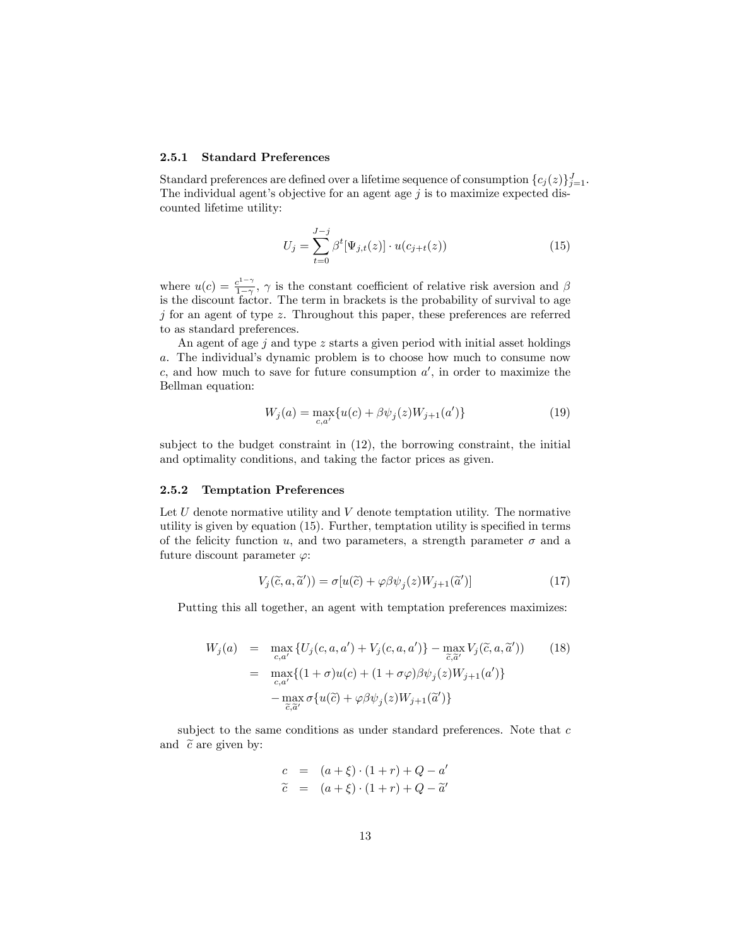#### 2.5.1 Standard Preferences

Standard preferences are defined over a lifetime sequence of consumption  $\{c_j(z)\}_{j=1}^J$ . The individual agent's objective for an agent age  $j$  is to maximize expected discounted lifetime utility:

$$
U_j = \sum_{t=0}^{J-j} \beta^t [\Psi_{j,t}(z)] \cdot u(c_{j+t}(z))
$$
\n(15)

where  $u(c) = \frac{c^{1-\gamma}}{1-\gamma}$  $\frac{e^{2\pi i/3}}{1-\gamma}$ ,  $\gamma$  is the constant coefficient of relative risk aversion and  $\beta$ is the discount factor. The term in brackets is the probability of survival to age  $j$  for an agent of type  $z$ . Throughout this paper, these preferences are referred to as standard preferences.

An agent of age  $j$  and type  $z$  starts a given period with initial asset holdings a. The individual's dynamic problem is to choose how much to consume now c, and how much to save for future consumption  $a'$ , in order to maximize the Bellman equation:

$$
W_j(a) = \max_{c,a'} \{ u(c) + \beta \psi_j(z) W_{j+1}(a') \}
$$
\n(19)

subject to the budget constraint in (12), the borrowing constraint, the initial and optimality conditions, and taking the factor prices as given.

#### 2.5.2 Temptation Preferences

Let  $U$  denote normative utility and  $V$  denote temptation utility. The normative utility is given by equation  $(15)$ . Further, temptation utility is specified in terms of the felicity function u, and two parameters, a strength parameter  $\sigma$  and a future discount parameter  $\varphi$ :

$$
V_j(\tilde{c}, a, \tilde{a}')) = \sigma[u(\tilde{c}) + \varphi \beta \psi_j(z) W_{j+1}(\tilde{a}')]
$$
\n(17)

Putting this all together, an agent with temptation preferences maximizes:

$$
W_j(a) = \max_{c,a'} \{ U_j(c,a,a') + V_j(c,a,a') \} - \max_{\overline{c},\overline{a}'} V_j(\widetilde{c},a,\widetilde{a}')) \qquad (18)
$$
  

$$
= \max_{c,a'} \{ (1+\sigma)u(c) + (1+\sigma\varphi)\beta\psi_j(z)W_{j+1}(a') \}
$$
  

$$
- \max_{\overline{c},\overline{a}'} \sigma \{ u(\overline{c}) + \varphi\beta\psi_j(z)W_{j+1}(\widetilde{a}') \}
$$

subject to the same conditions as under standard preferences. Note that  $c$ and  $\tilde{c}$  are given by:

$$
c = (a + \xi) \cdot (1 + r) + Q - a'
$$
  
\n
$$
\tilde{c} = (a + \xi) \cdot (1 + r) + Q - \tilde{a}'
$$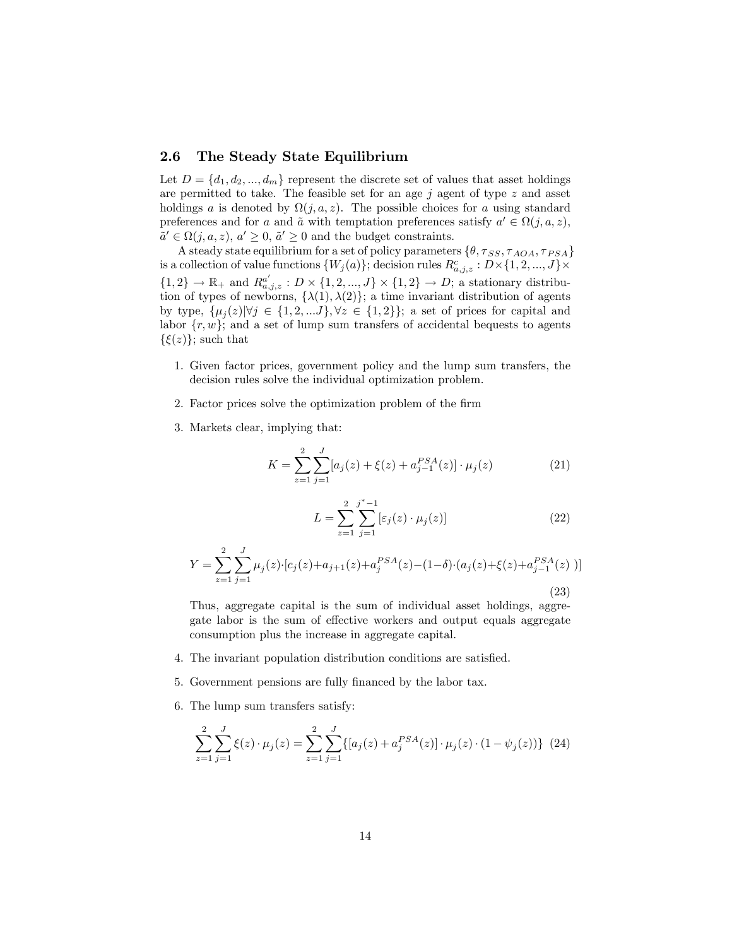### 2.6 The Steady State Equilibrium

Let  $D = \{d_1, d_2, ..., d_m\}$  represent the discrete set of values that asset holdings are permitted to take. The feasible set for an age  $j$  agent of type  $z$  and asset holdings a is denoted by  $\Omega(j, a, z)$ . The possible choices for a using standard preferences and for a and  $\tilde{a}$  with temptation preferences satisfy  $a' \in \Omega(j, a, z)$ ,  $\tilde{a}' \in \Omega(j, a, z), a' \geq 0, \tilde{a}' \geq 0$  and the budget constraints.

A steady state equilibrium for a set of policy parameters  $\{\theta, \tau_{SS}, \tau_{AOA}, \tau_{PSA}\}$ is a collection of value functions  $\{W_j(a)\}$ ; decision rules  $R^c_{a,j,z} : D \times \{1,2,...,J\} \times$  $\{1,2\} \rightarrow \mathbb{R}_+$  and  $R_{a,j,z}^{a'} : D \times \{1,2,...,J\} \times \{1,2\} \rightarrow D$ ; a stationary distribution of types of newborns,  $\{\lambda(1), \lambda(2)\}$ ; a time invariant distribution of agents by type,  $\{\mu_j(z)|\forall j \in \{1, 2, \ldots J\}, \forall z \in \{1, 2\}\}\;$  a set of prices for capital and labor  $\{r, w\}$ ; and a set of lump sum transfers of accidental bequests to agents  $\{\xi(z)\}\;$  such that

- 1. Given factor prices, government policy and the lump sum transfers, the decision rules solve the individual optimization problem.
- 2. Factor prices solve the optimization problem of the firm
- 3. Markets clear, implying that:

$$
K = \sum_{z=1}^{2} \sum_{j=1}^{J} [a_j(z) + \xi(z) + a_{j-1}^{PSA}(z)] \cdot \mu_j(z)
$$
 (21)

$$
L = \sum_{z=1}^{2} \sum_{j=1}^{j^*-1} [\varepsilon_j(z) \cdot \mu_j(z)] \tag{22}
$$

$$
Y = \sum_{z=1}^{2} \sum_{j=1}^{J} \mu_j(z) \cdot [c_j(z) + a_{j+1}(z) + a_j^{PSA}(z) - (1 - \delta) \cdot (a_j(z) + \xi(z) + a_{j-1}^{PSA}(z))]
$$
\n(23)

Thus, aggregate capital is the sum of individual asset holdings, aggregate labor is the sum of effective workers and output equals aggregate consumption plus the increase in aggregate capital.

- 4. The invariant population distribution conditions are satisfied.
- 5. Government pensions are fully financed by the labor tax.
- 6. The lump sum transfers satisfy:

$$
\sum_{z=1}^{2} \sum_{j=1}^{J} \xi(z) \cdot \mu_j(z) = \sum_{z=1}^{2} \sum_{j=1}^{J} \{ [a_j(z) + a_j^{PSA}(z)] \cdot \mu_j(z) \cdot (1 - \psi_j(z)) \} (24)
$$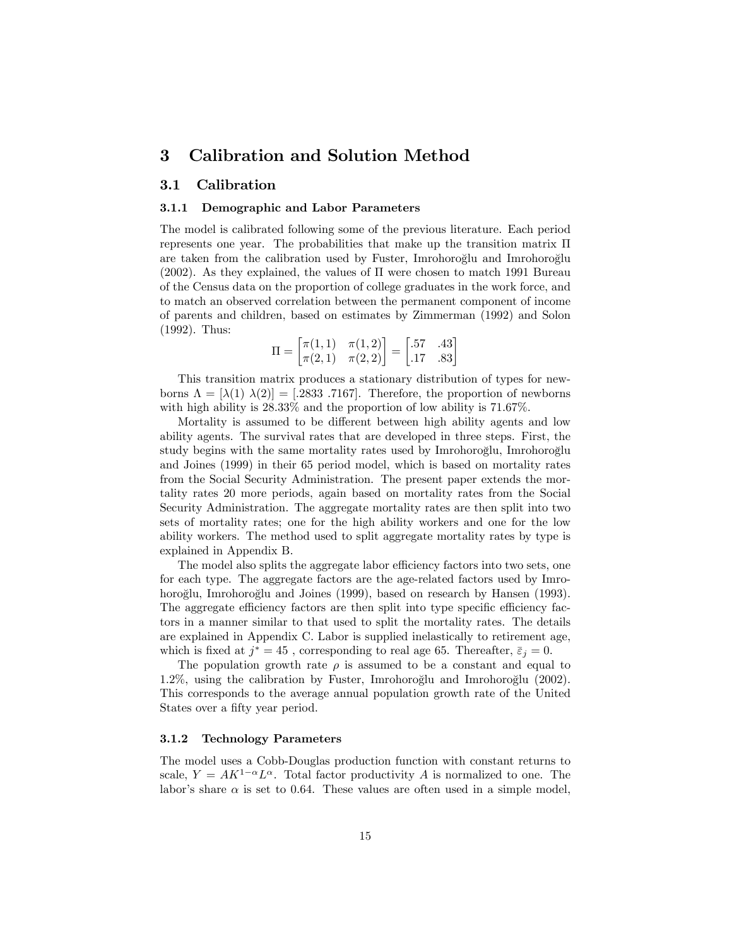# 3 Calibration and Solution Method

## 3.1 Calibration

#### 3.1.1 Demographic and Labor Parameters

The model is calibrated following some of the previous literature. Each period represents one year. The probabilities that make up the transition matrix  $\Pi$ are taken from the calibration used by Fuster, Imrohoroglu and Imrohoroglu (2002). As they explained, the values of  $\Pi$  were chosen to match 1991 Bureau of the Census data on the proportion of college graduates in the work force, and to match an observed correlation between the permanent component of income of parents and children, based on estimates by Zimmerman (1992) and Solon (1992). Thus:

$$
\Pi = \begin{bmatrix} \pi(1,1) & \pi(1,2) \\ \pi(2,1) & \pi(2,2) \end{bmatrix} = \begin{bmatrix} .57 & .43 \\ .17 & .83 \end{bmatrix}
$$

This transition matrix produces a stationary distribution of types for newborns  $\Lambda = [\lambda(1) \lambda(2)] = [.2833 \ .7167]$ . Therefore, the proportion of newborns with high ability is  $28.33\%$  and the proportion of low ability is 71.67%.

Mortality is assumed to be different between high ability agents and low ability agents. The survival rates that are developed in three steps. First, the study begins with the same mortality rates used by Imrohoroglu, Imrohoroglu and Joines (1999) in their 65 period model, which is based on mortality rates from the Social Security Administration. The present paper extends the mortality rates 20 more periods, again based on mortality rates from the Social Security Administration. The aggregate mortality rates are then split into two sets of mortality rates; one for the high ability workers and one for the low ability workers. The method used to split aggregate mortality rates by type is explained in Appendix B.

The model also splits the aggregate labor efficiency factors into two sets, one for each type. The aggregate factors are the age-related factors used by Imrohoroğlu, Imrohoroğlu and Joines (1999), based on research by Hansen (1993). The aggregate efficiency factors are then split into type specific efficiency factors in a manner similar to that used to split the mortality rates. The details are explained in Appendix C. Labor is supplied inelastically to retirement age, which is fixed at  $j^*=45$ , corresponding to real age 65. Thereafter,  $\bar{\varepsilon}_j=0$ .

The population growth rate  $\rho$  is assumed to be a constant and equal to  $1.2\%$ , using the calibration by Fuster, Imrohoroglu and Imrohoroglu (2002). This corresponds to the average annual population growth rate of the United States over a fifty year period.

#### 3.1.2 Technology Parameters

The model uses a Cobb-Douglas production function with constant returns to scale,  $Y = AK^{1-\alpha}L^{\alpha}$ . Total factor productivity A is normalized to one. The labor's share  $\alpha$  is set to 0.64. These values are often used in a simple model,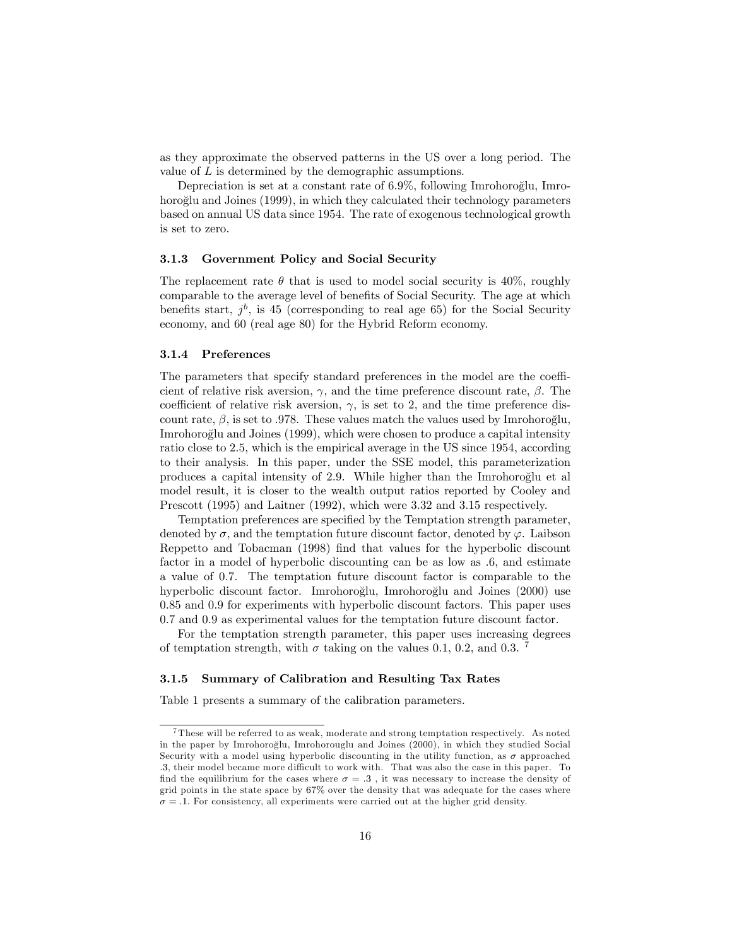as they approximate the observed patterns in the US over a long period. The value of  $L$  is determined by the demographic assumptions.

Depreciation is set at a constant rate of 6.9%, following Imrohoroglu, Imrohoroglu and Joines (1999), in which they calculated their technology parameters based on annual US data since 1954. The rate of exogenous technological growth is set to zero.

#### 3.1.3 Government Policy and Social Security

The replacement rate  $\theta$  that is used to model social security is 40%, roughly comparable to the average level of benefits of Social Security. The age at which benefits start,  $j^b$ , is 45 (corresponding to real age 65) for the Social Security economy, and 60 (real age 80) for the Hybrid Reform economy.

#### 3.1.4 Preferences

The parameters that specify standard preferences in the model are the coefficient of relative risk aversion,  $\gamma$ , and the time preference discount rate,  $\beta$ . The coefficient of relative risk aversion,  $\gamma$ , is set to 2, and the time preference discount rate,  $\beta$ , is set to .978. These values match the values used by Imrohoroglu, Imrohoroglu and Joines (1999), which were chosen to produce a capital intensity ratio close to 2:5, which is the empirical average in the US since 1954, according to their analysis. In this paper, under the SSE model, this parameterization produces a capital intensity of  $2.9$ . While higher than the Imrohoroglu et al model result, it is closer to the wealth output ratios reported by Cooley and Prescott (1995) and Laitner (1992), which were 3.32 and 3.15 respectively.

Temptation preferences are specified by the Temptation strength parameter, denoted by  $\sigma$ , and the temptation future discount factor, denoted by  $\varphi$ . Laibson Reppetto and Tobacman (1998) Önd that values for the hyperbolic discount factor in a model of hyperbolic discounting can be as low as :6, and estimate a value of 0:7. The temptation future discount factor is comparable to the hyperbolic discount factor. Imrohoroğlu, Imrohoroğlu and Joines (2000) use 0:85 and 0:9 for experiments with hyperbolic discount factors. This paper uses 0:7 and 0:9 as experimental values for the temptation future discount factor.

For the temptation strength parameter, this paper uses increasing degrees of temptation strength, with  $\sigma$  taking on the values 0.1, 0.2, and 0.3. <sup>7</sup>

#### 3.1.5 Summary of Calibration and Resulting Tax Rates

Table 1 presents a summary of the calibration parameters.

<sup>7</sup> These will be referred to as weak, moderate and strong temptation respectively. As noted in the paper by Imrohoroglu, Imrohorouglu and Joines (2000), in which they studied Social º Security with a model using hyperbolic discounting in the utility function, as  $\sigma$  approached .3, their model became more difficult to work with. That was also the case in this paper. To find the equilibrium for the cases where  $\sigma = .3$ , it was necessary to increase the density of grid points in the state space by 67% over the density that was adequate for the cases where  $\sigma = .1$ . For consistency, all experiments were carried out at the higher grid density.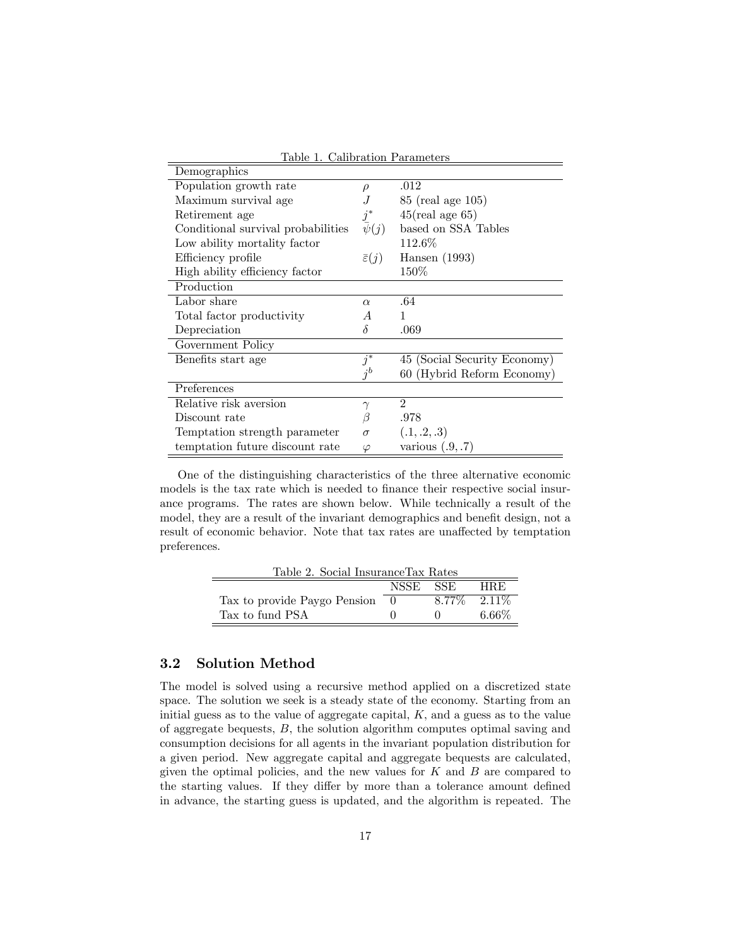| тарк т. санргалон гаганкалы        |                        |                              |
|------------------------------------|------------------------|------------------------------|
| Demographics                       |                        |                              |
| Population growth rate             | $\rho$                 | .012                         |
| Maximum survival age               |                        | 85 (real age 105)            |
| Retirement age                     | $j^*$                  | $45$ (real age 65)           |
| Conditional survival probabilities | $\bar{\psi}(j)$        | based on SSA Tables          |
| Low ability mortality factor       |                        | 112.6%                       |
| Efficiency profile                 | $\bar{\varepsilon}(j)$ | Hansen $(1993)$              |
| High ability efficiency factor     |                        | $150\%$                      |
| Production                         |                        |                              |
| Labor share                        | $\alpha$               | .64                          |
| Total factor productivity          | А                      | 1                            |
| Depreciation                       | δ                      | .069                         |
| Government Policy                  |                        |                              |
| Benefits start age                 | $j^*$                  | 45 (Social Security Economy) |
|                                    | $i^b$                  | 60 (Hybrid Reform Economy)   |
| Preferences                        |                        |                              |
| Relative risk aversion             | $\gamma$               | $\mathcal{D}_{\mathcal{L}}$  |
| Discount rate                      | ß                      | .978                         |
| Temptation strength parameter      | $\sigma$               | (.1, .2, .3)                 |
| temptation future discount rate    | $\varphi$              | various $(.9, .7)$           |

Table 1. Calibration Parameters

One of the distinguishing characteristics of the three alternative economic models is the tax rate which is needed to finance their respective social insurance programs. The rates are shown below. While technically a result of the model, they are a result of the invariant demographics and benefit design, not a result of economic behavior. Note that tax rates are unaffected by temptation preferences.

| Table 2. Social Insurance Tax Rates |          |                   |          |  |  |  |  |
|-------------------------------------|----------|-------------------|----------|--|--|--|--|
| NSSE SSE<br>HRE.                    |          |                   |          |  |  |  |  |
| Tax to provide Paygo Pension        | $\theta$ | $8.77\%$ $2.11\%$ |          |  |  |  |  |
| Tax to fund PSA                     |          |                   | $6.66\%$ |  |  |  |  |

# 3.2 Solution Method

The model is solved using a recursive method applied on a discretized state space. The solution we seek is a steady state of the economy. Starting from an initial guess as to the value of aggregate capital,  $K$ , and a guess as to the value of aggregate bequests, B, the solution algorithm computes optimal saving and consumption decisions for all agents in the invariant population distribution for a given period. New aggregate capital and aggregate bequests are calculated, given the optimal policies, and the new values for  $K$  and  $B$  are compared to the starting values. If they differ by more than a tolerance amount defined in advance, the starting guess is updated, and the algorithm is repeated. The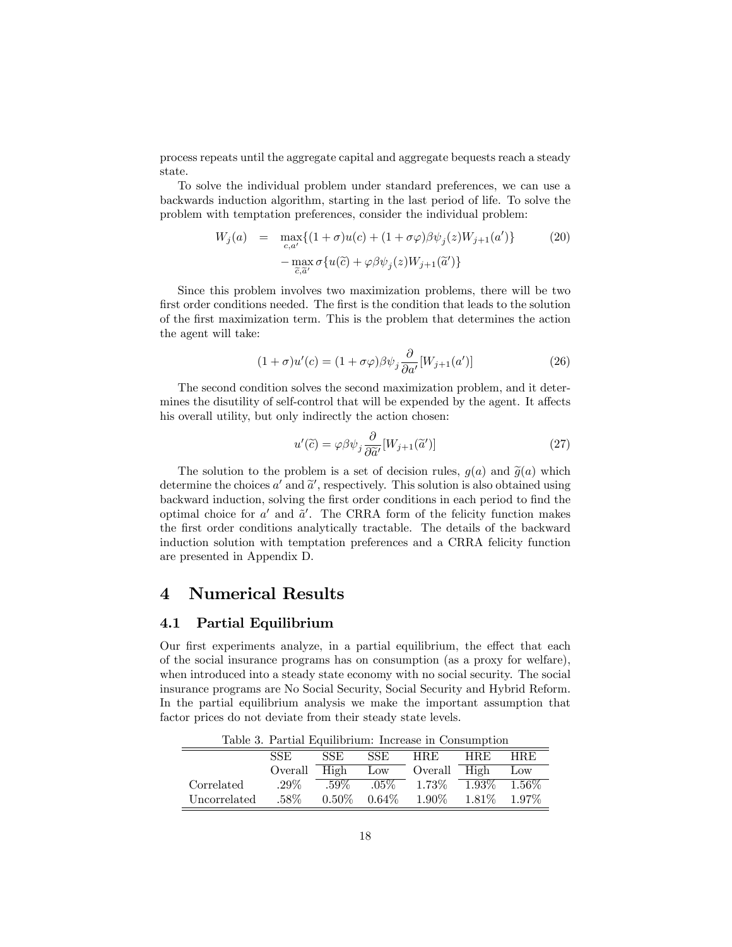process repeats until the aggregate capital and aggregate bequests reach a steady state.

To solve the individual problem under standard preferences, we can use a backwards induction algorithm, starting in the last period of life. To solve the problem with temptation preferences, consider the individual problem:

$$
W_j(a) = \max_{\substack{c, a'\\ \overline{c}, \overline{a}'}} \{ (1 + \sigma)u(c) + (1 + \sigma\varphi)\beta\psi_j(z)W_{j+1}(a') \} \tag{20}
$$

$$
-\max_{\substack{\overline{c}, \overline{a}'}} \sigma\{u(\overline{c}) + \varphi\beta\psi_j(z)W_{j+1}(\overline{a}')\}
$$

Since this problem involves two maximization problems, there will be two first order conditions needed. The first is the condition that leads to the solution of the Örst maximization term. This is the problem that determines the action the agent will take:

$$
(1+\sigma)u'(c) = (1+\sigma\varphi)\beta\psi_j \frac{\partial}{\partial a'}[W_{j+1}(a')]
$$
\n(26)

The second condition solves the second maximization problem, and it determines the disutility of self-control that will be expended by the agent. It affects his overall utility, but only indirectly the action chosen:

$$
u'(\tilde{c}) = \varphi \beta \psi_j \frac{\partial}{\partial \tilde{a}'} [W_{j+1}(\tilde{a}')]
$$
\n(27)

The solution to the problem is a set of decision rules,  $g(a)$  and  $\tilde{g}(a)$  which determine the choices  $a'$  and  $\tilde{a}'$ , respectively. This solution is also obtained using backward induction, solving the first order conditions in each period to find the optimal choice for  $a'$  and  $\tilde{a}'$ . The CRRA form of the felicity function makes the Örst order conditions analytically tractable. The details of the backward induction solution with temptation preferences and a CRRA felicity function are presented in Appendix D.

# 4 Numerical Results

### 4.1 Partial Equilibrium

Our first experiments analyze, in a partial equilibrium, the effect that each of the social insurance programs has on consumption (as a proxy for welfare), when introduced into a steady state economy with no social security. The social insurance programs are No Social Security, Social Security and Hybrid Reform. In the partial equilibrium analysis we make the important assumption that factor prices do not deviate from their steady state levels.

Table 3. Partial Equilibrium: Increase in Consumption

|              | <b>SSE</b> | SSE      | <b>SSE</b> | <b>HRE</b> | <b>HRE</b> | <b>HRE</b> |
|--------------|------------|----------|------------|------------|------------|------------|
|              | Overall    | High     | Low        | Overall    | High       | Low        |
| Correlated   | $.29\%$    | $.59\%$  | $.05\%$    | $1.73\%$   | $-1.93\%$  | $-1.56\%$  |
| Uncorrelated | .58%       | $0.50\%$ | $0.64\%$   | $1.90\%$   | 1.81\%     | $1.97\%$   |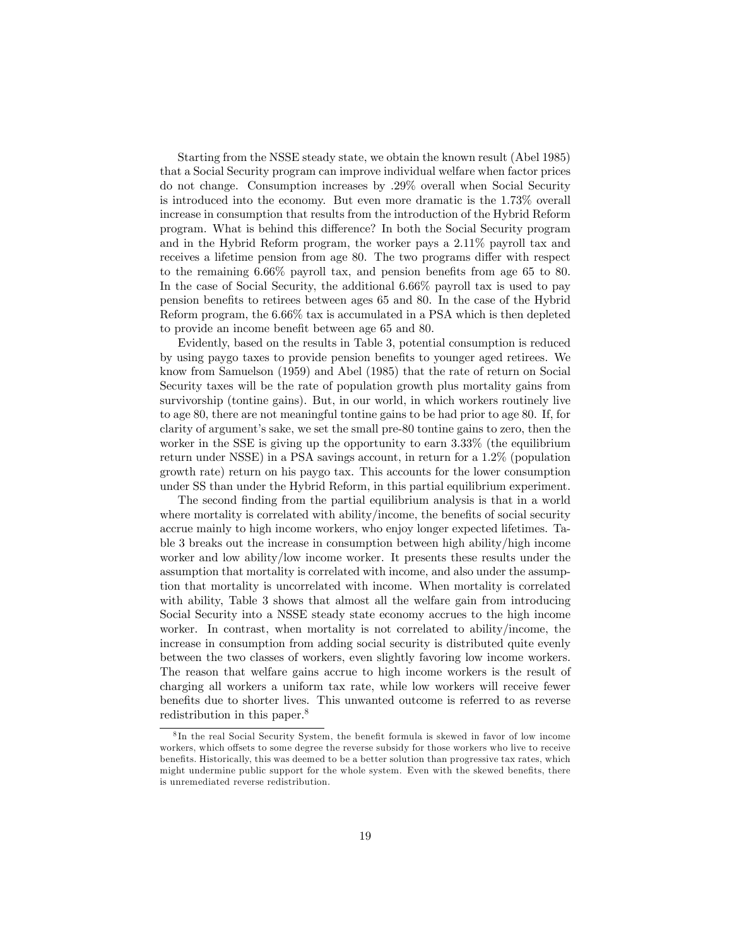Starting from the NSSE steady state, we obtain the known result (Abel 1985) that a Social Security program can improve individual welfare when factor prices do not change. Consumption increases by :29% overall when Social Security is introduced into the economy. But even more dramatic is the 1:73% overall increase in consumption that results from the introduction of the Hybrid Reform program. What is behind this difference? In both the Social Security program and in the Hybrid Reform program, the worker pays a  $2.11\%$  payroll tax and receives a lifetime pension from age 80. The two programs differ with respect to the remaining  $6.66\%$  payroll tax, and pension benefits from age 65 to 80. In the case of Social Security, the additional 6:66% payroll tax is used to pay pension beneÖts to retirees between ages 65 and 80. In the case of the Hybrid Reform program, the 6:66% tax is accumulated in a PSA which is then depleted to provide an income benefit between age 65 and 80.

Evidently, based on the results in Table 3, potential consumption is reduced by using paygo taxes to provide pension benefits to younger aged retirees. We know from Samuelson (1959) and Abel (1985) that the rate of return on Social Security taxes will be the rate of population growth plus mortality gains from survivorship (tontine gains). But, in our world, in which workers routinely live to age 80, there are not meaningful tontine gains to be had prior to age 80. If, for clarity of argumentís sake, we set the small pre-80 tontine gains to zero, then the worker in the SSE is giving up the opportunity to earn 3:33% (the equilibrium return under NSSE) in a PSA savings account, in return for a 1:2% (population growth rate) return on his paygo tax. This accounts for the lower consumption under SS than under the Hybrid Reform, in this partial equilibrium experiment.

The second finding from the partial equilibrium analysis is that in a world where mortality is correlated with ability/income, the benefits of social security accrue mainly to high income workers, who enjoy longer expected lifetimes. Table 3 breaks out the increase in consumption between high ability/high income worker and low ability/low income worker. It presents these results under the assumption that mortality is correlated with income, and also under the assumption that mortality is uncorrelated with income. When mortality is correlated with ability, Table 3 shows that almost all the welfare gain from introducing Social Security into a NSSE steady state economy accrues to the high income worker. In contrast, when mortality is not correlated to ability/income, the increase in consumption from adding social security is distributed quite evenly between the two classes of workers, even slightly favoring low income workers. The reason that welfare gains accrue to high income workers is the result of charging all workers a uniform tax rate, while low workers will receive fewer benefits due to shorter lives. This unwanted outcome is referred to as reverse redistribution in this paper.<sup>8</sup>

<sup>&</sup>lt;sup>8</sup>In the real Social Security System, the benefit formula is skewed in favor of low income workers, which offsets to some degree the reverse subsidy for those workers who live to receive benefits. Historically, this was deemed to be a better solution than progressive tax rates, which might undermine public support for the whole system. Even with the skewed benefits, there is unremediated reverse redistribution.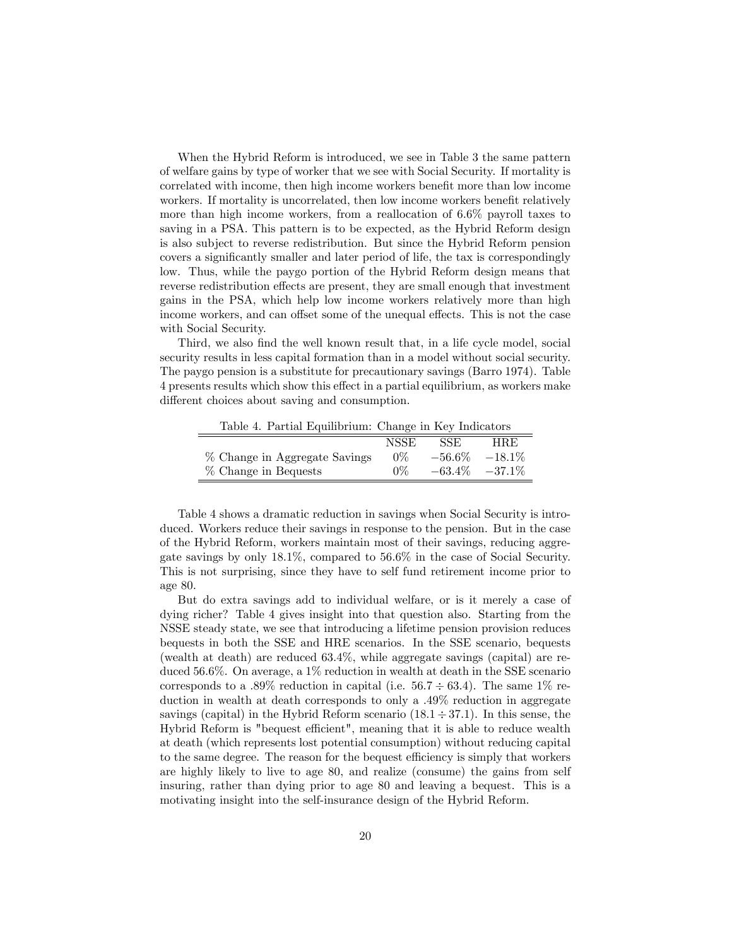When the Hybrid Reform is introduced, we see in Table 3 the same pattern of welfare gains by type of worker that we see with Social Security. If mortality is correlated with income, then high income workers benefit more than low income workers. If mortality is uncorrelated, then low income workers benefit relatively more than high income workers, from a reallocation of  $6.6\%$  payroll taxes to saving in a PSA. This pattern is to be expected, as the Hybrid Reform design is also subject to reverse redistribution. But since the Hybrid Reform pension covers a significantly smaller and later period of life, the tax is correspondingly low. Thus, while the paygo portion of the Hybrid Reform design means that reverse redistribution effects are present, they are small enough that investment gains in the PSA, which help low income workers relatively more than high income workers, and can offset some of the unequal effects. This is not the case with Social Security.

Third, we also find the well known result that, in a life cycle model, social security results in less capital formation than in a model without social security. The paygo pension is a substitute for precautionary savings (Barro 1974). Table 4 presents results which show this effect in a partial equilibrium, as workers make different choices about saving and consumption.

Table 4. Partial Equilibrium: Change in Key Indicators

| NSSE<br><b>SSE</b><br><b>HRE</b><br>$-56.6\%$<br>% Change in Aggregate Savings<br>$0\%$ |                      |  |           |
|-----------------------------------------------------------------------------------------|----------------------|--|-----------|
|                                                                                         |                      |  |           |
|                                                                                         |                      |  | $-18.1\%$ |
| $-63.4\%$ $-37.1\%$<br>$0\%$                                                            | % Change in Bequests |  |           |

Table 4 shows a dramatic reduction in savings when Social Security is introduced. Workers reduce their savings in response to the pension. But in the case of the Hybrid Reform, workers maintain most of their savings, reducing aggregate savings by only 18:1%, compared to 56:6% in the case of Social Security. This is not surprising, since they have to self fund retirement income prior to age 80.

But do extra savings add to individual welfare, or is it merely a case of dying richer? Table 4 gives insight into that question also. Starting from the NSSE steady state, we see that introducing a lifetime pension provision reduces bequests in both the SSE and HRE scenarios. In the SSE scenario, bequests (wealth at death) are reduced 63:4%, while aggregate savings (capital) are reduced 56:6%. On average, a 1% reduction in wealth at death in the SSE scenario corresponds to a .89% reduction in capital (i.e.  $56.7 \div 63.4$ ). The same 1% reduction in wealth at death corresponds to only a :49% reduction in aggregate savings (capital) in the Hybrid Reform scenario  $(18.1 \div 37.1)$ . In this sense, the Hybrid Reform is "bequest efficient", meaning that it is able to reduce wealth at death (which represents lost potential consumption) without reducing capital to the same degree. The reason for the bequest efficiency is simply that workers are highly likely to live to age 80, and realize (consume) the gains from self insuring, rather than dying prior to age 80 and leaving a bequest. This is a motivating insight into the self-insurance design of the Hybrid Reform.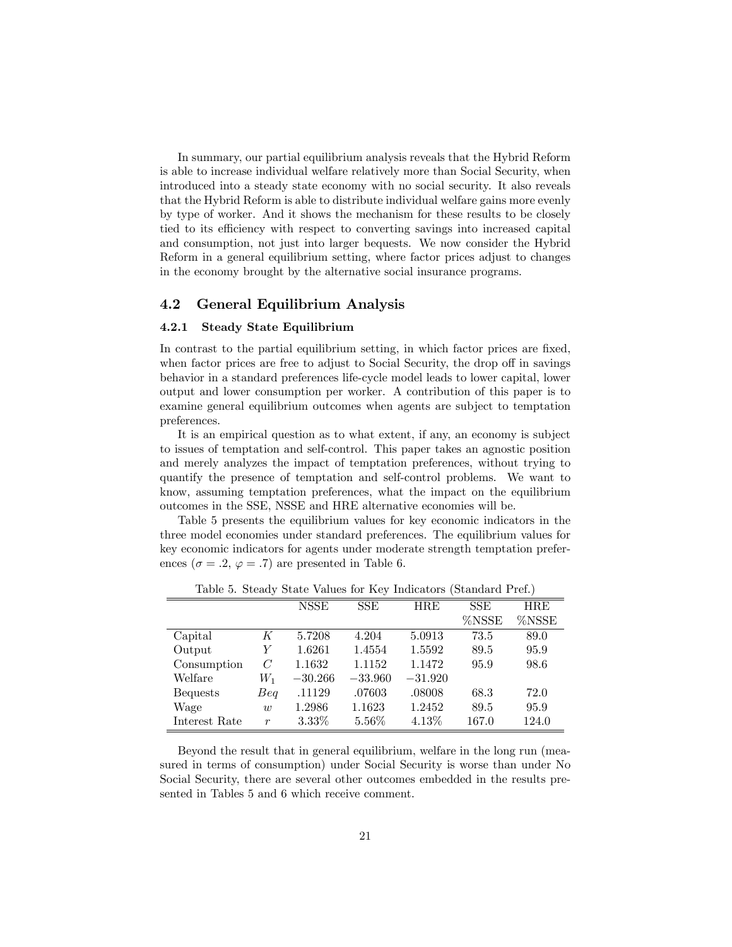In summary, our partial equilibrium analysis reveals that the Hybrid Reform is able to increase individual welfare relatively more than Social Security, when introduced into a steady state economy with no social security. It also reveals that the Hybrid Reform is able to distribute individual welfare gains more evenly by type of worker. And it shows the mechanism for these results to be closely tied to its efficiency with respect to converting savings into increased capital and consumption, not just into larger bequests. We now consider the Hybrid Reform in a general equilibrium setting, where factor prices adjust to changes in the economy brought by the alternative social insurance programs.

### 4.2 General Equilibrium Analysis

#### 4.2.1 Steady State Equilibrium

In contrast to the partial equilibrium setting, in which factor prices are fixed, when factor prices are free to adjust to Social Security, the drop off in savings behavior in a standard preferences life-cycle model leads to lower capital, lower output and lower consumption per worker. A contribution of this paper is to examine general equilibrium outcomes when agents are subject to temptation preferences.

It is an empirical question as to what extent, if any, an economy is subject to issues of temptation and self-control. This paper takes an agnostic position and merely analyzes the impact of temptation preferences, without trying to quantify the presence of temptation and self-control problems. We want to know, assuming temptation preferences, what the impact on the equilibrium outcomes in the SSE, NSSE and HRE alternative economies will be.

Table 5 presents the equilibrium values for key economic indicators in the three model economies under standard preferences. The equilibrium values for key economic indicators for agents under moderate strength temptation preferences ( $\sigma = .2$ ,  $\varphi = .7$ ) are presented in Table 6.

|                 |                  | <b>NSSE</b> | <b>SSE</b> | <b>HRE</b> | <b>SSE</b> | HRE   |
|-----------------|------------------|-------------|------------|------------|------------|-------|
|                 |                  |             |            |            | %NSSE      | %NSSE |
| Capital         | K                | 5.7208      | 4.204      | 5.0913     | 73.5       | 89.0  |
| Output          | Y                | 1.6261      | 1.4554     | 1.5592     | 89.5       | 95.9  |
| Consumption     | $\mathcal C$     | 1.1632      | 1.1152     | 1.1472     | 95.9       | 98.6  |
| Welfare         | $W_1$            | $-30.266$   | $-33.960$  | $-31.920$  |            |       |
| <b>Bequests</b> | Beq              | .11129      | .07603     | .08008     | 68.3       | 72.0  |
| Wage            | $\overline{w}$   | 1.2986      | 1.1623     | 1.2452     | 89.5       | 95.9  |
| Interest Rate   | $\boldsymbol{r}$ | $3.33\%$    | 5.56%      | $4.13\%$   | 167.0      | 124.0 |

Table 5. Steady State Values for Key Indicators (Standard Pref.)

Beyond the result that in general equilibrium, welfare in the long run (measured in terms of consumption) under Social Security is worse than under No Social Security, there are several other outcomes embedded in the results presented in Tables 5 and 6 which receive comment.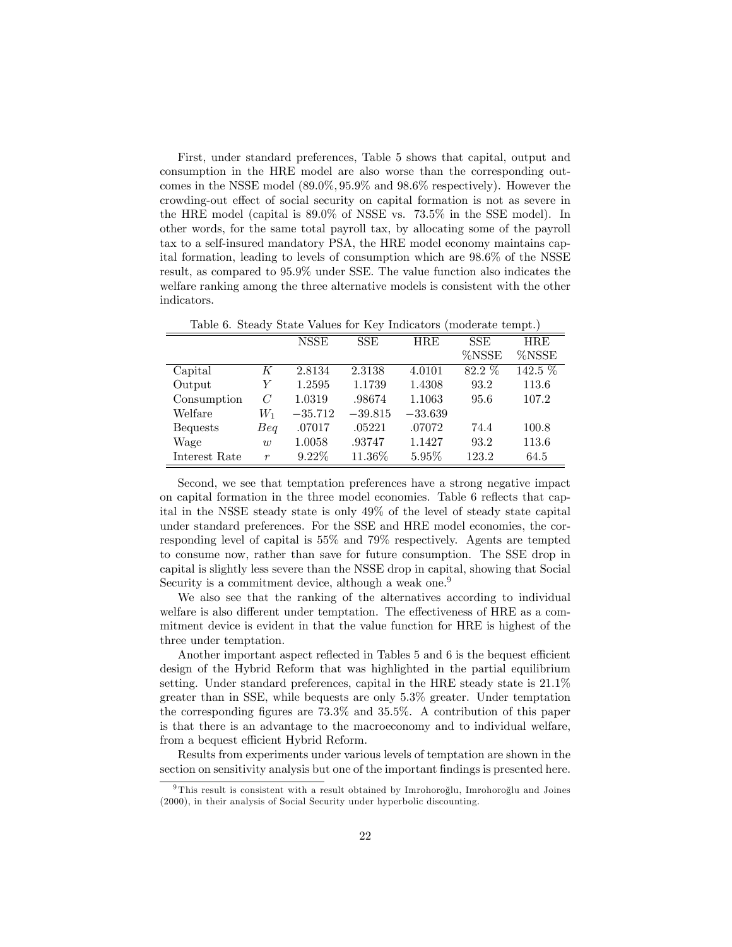First, under standard preferences, Table 5 shows that capital, output and consumption in the HRE model are also worse than the corresponding outcomes in the NSSE model  $(89.0\%, 95.9\% \text{ and } 98.6\% \text{ respectively})$ . However the crowding-out effect of social security on capital formation is not as severe in the HRE model (capital is 89:0% of NSSE vs. 73:5% in the SSE model). In other words, for the same total payroll tax, by allocating some of the payroll tax to a self-insured mandatory PSA, the HRE model economy maintains capital formation, leading to levels of consumption which are 98:6% of the NSSE result, as compared to 95:9% under SSE. The value function also indicates the welfare ranking among the three alternative models is consistent with the other indicators.

| Table 0. Decay Deale Values for TVC Highcarols (Highcare cempe.) |                  |             |            |            |            |            |  |
|------------------------------------------------------------------|------------------|-------------|------------|------------|------------|------------|--|
|                                                                  |                  | <b>NSSE</b> | <b>SSE</b> | <b>HRE</b> | <b>SSE</b> | <b>HRE</b> |  |
|                                                                  |                  |             |            |            | %NSSE      | %NSSE      |  |
| Capital                                                          | K                | 2.8134      | 2.3138     | 4.0101     | $82.2\%$   | 142.5 %    |  |
| Output                                                           | Y                | 1.2595      | 1.1739     | 1.4308     | 93.2       | 113.6      |  |
| Consumption                                                      | C                | 1.0319      | .98674     | 1.1063     | 95.6       | 107.2      |  |
| Welfare                                                          | $W_1$            | $-35.712$   | $-39.815$  | $-33.639$  |            |            |  |
| <b>Bequests</b>                                                  | Beq              | .07017      | .05221     | .07072     | 74.4       | 100.8      |  |
| Wage                                                             | $\overline{w}$   | 1.0058      | .93747     | 1.1427     | 93.2       | 113.6      |  |
| Interest Rate                                                    | $\boldsymbol{r}$ | $9.22\%$    | 11.36%     | $5.95\%$   | 123.2      | 64.5       |  |

Table 6. Steady State Values for Key Indicators (moderate tempt.)

Second, we see that temptation preferences have a strong negative impact on capital formation in the three model economies. Table 6 reflects that capital in the NSSE steady state is only 49% of the level of steady state capital under standard preferences. For the SSE and HRE model economies, the corresponding level of capital is 55% and 79% respectively. Agents are tempted to consume now, rather than save for future consumption. The SSE drop in capital is slightly less severe than the NSSE drop in capital, showing that Social Security is a commitment device, although a weak one.<sup>9</sup>

We also see that the ranking of the alternatives according to individual welfare is also different under temptation. The effectiveness of HRE as a commitment device is evident in that the value function for HRE is highest of the three under temptation.

Another important aspect reflected in Tables 5 and 6 is the bequest efficient design of the Hybrid Reform that was highlighted in the partial equilibrium setting. Under standard preferences, capital in the HRE steady state is  $21.1\%$ greater than in SSE, while bequests are only 5:3% greater. Under temptation the corresponding figures are  $73.3\%$  and  $35.5\%$ . A contribution of this paper is that there is an advantage to the macroeconomy and to individual welfare, from a bequest efficient Hybrid Reform.

Results from experiments under various levels of temptation are shown in the section on sensitivity analysis but one of the important findings is presented here.

 $9$ This result is consistent with a result obtained by Imrohoro glu, Imrohoro glu and Joines (2000), in their analysis of Social Security under hyperbolic discounting.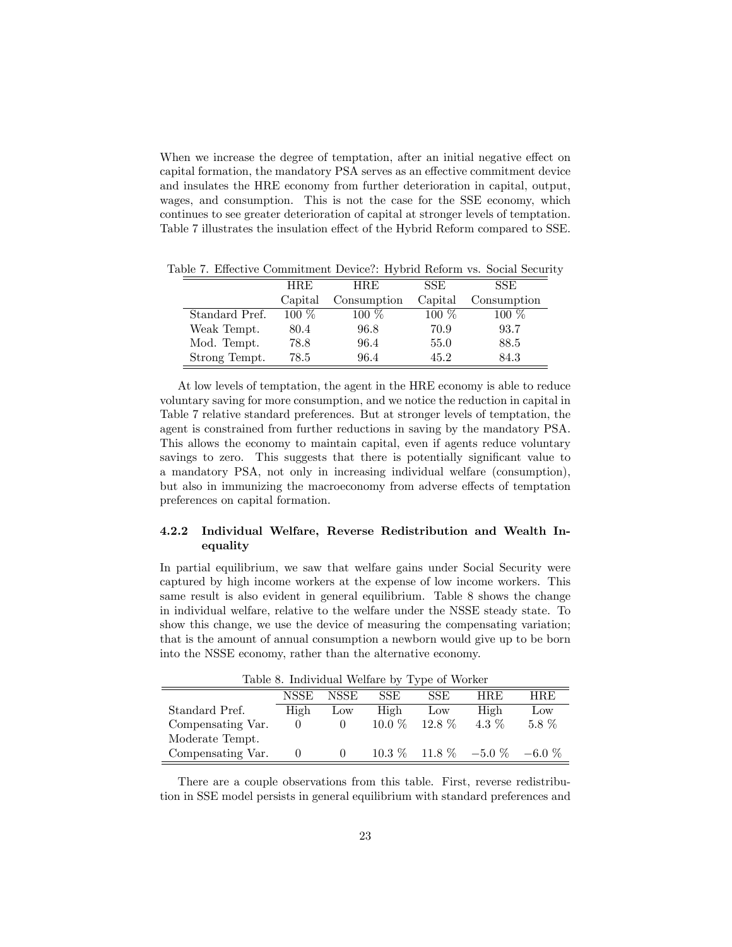When we increase the degree of temptation, after an initial negative effect on capital formation, the mandatory PSA serves as an effective commitment device and insulates the HRE economy from further deterioration in capital, output, wages, and consumption. This is not the case for the SSE economy, which continues to see greater deterioration of capital at stronger levels of temptation. Table 7 illustrates the insulation effect of the Hybrid Reform compared to SSE.

|                | <b>HRE</b> | HRE.        | SSE.    | SSE.        |
|----------------|------------|-------------|---------|-------------|
|                | Capital    | Consumption | Capital | Consumption |
| Standard Pref. | $100\%$    | $100\%$     | $100\%$ | $100~\%$    |
| Weak Tempt.    | 80.4       | 96.8        | 70.9    | 93.7        |
| Mod. Tempt.    | 78.8       | 96.4        | 55.0    | 88.5        |
| Strong Tempt.  | 78.5       | 96.4        | 45.2    | 84.3        |

Table 7. Effective Commitment Device?: Hybrid Reform vs. Social Security

At low levels of temptation, the agent in the HRE economy is able to reduce voluntary saving for more consumption, and we notice the reduction in capital in Table 7 relative standard preferences. But at stronger levels of temptation, the agent is constrained from further reductions in saving by the mandatory PSA. This allows the economy to maintain capital, even if agents reduce voluntary savings to zero. This suggests that there is potentially significant value to a mandatory PSA, not only in increasing individual welfare (consumption), but also in immunizing the macroeconomy from adverse effects of temptation preferences on capital formation.

### 4.2.2 Individual Welfare, Reverse Redistribution and Wealth Inequality

In partial equilibrium, we saw that welfare gains under Social Security were captured by high income workers at the expense of low income workers. This same result is also evident in general equilibrium. Table 8 shows the change in individual welfare, relative to the welfare under the NSSE steady state. To show this change, we use the device of measuring the compensating variation; that is the amount of annual consumption a newborn would give up to be born into the NSSE economy, rather than the alternative economy.

| Table 0. Individual Wellard by Type of Worker |      |                 |          |                 |                                   |            |  |  |
|-----------------------------------------------|------|-----------------|----------|-----------------|-----------------------------------|------------|--|--|
|                                               | NSSE | NSSE            | SSE.     | SSE.            | <b>HRE</b>                        | <b>HRE</b> |  |  |
| Standard Pref.                                | High | $_{\text{LOW}}$ | High     | $_{\text{LOW}}$ | High                              | Low        |  |  |
| Compensating Var.                             |      |                 | $10.0\%$ | $12.8\%$        | 4.3 %                             | $5.8\%$    |  |  |
| Moderate Tempt.                               |      |                 |          |                 |                                   |            |  |  |
| Compensating Var.                             |      |                 |          |                 | $10.3\%$ 11.8 % $-5.0\%$ $-6.0\%$ |            |  |  |

Table 8. Individual Welfare by Type of Worker

There are a couple observations from this table. First, reverse redistribution in SSE model persists in general equilibrium with standard preferences and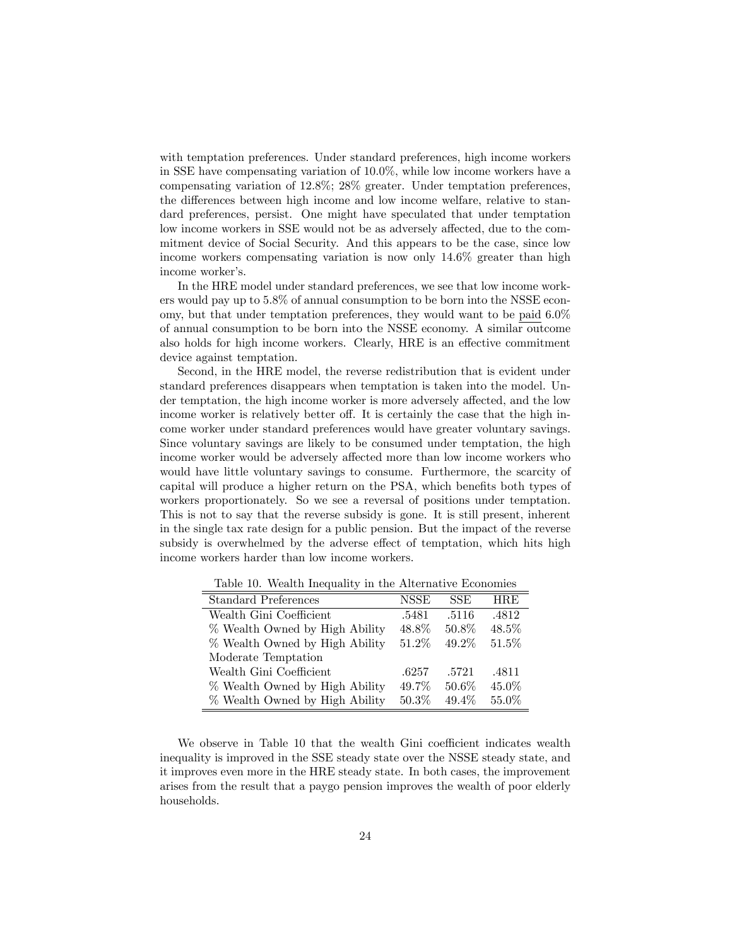with temptation preferences. Under standard preferences, high income workers in SSE have compensating variation of 10:0%, while low income workers have a compensating variation of 12:8%; 28% greater. Under temptation preferences, the differences between high income and low income welfare, relative to standard preferences, persist. One might have speculated that under temptation low income workers in SSE would not be as adversely affected, due to the commitment device of Social Security. And this appears to be the case, since low income workers compensating variation is now only 14:6% greater than high income worker's.

In the HRE model under standard preferences, we see that low income workers would pay up to 5:8% of annual consumption to be born into the NSSE economy, but that under temptation preferences, they would want to be paid 6:0% of annual consumption to be born into the NSSE economy. A similar outcome also holds for high income workers. Clearly, HRE is an effective commitment device against temptation.

Second, in the HRE model, the reverse redistribution that is evident under standard preferences disappears when temptation is taken into the model. Under temptation, the high income worker is more adversely affected, and the low income worker is relatively better off. It is certainly the case that the high income worker under standard preferences would have greater voluntary savings. Since voluntary savings are likely to be consumed under temptation, the high income worker would be adversely affected more than low income workers who would have little voluntary savings to consume. Furthermore, the scarcity of capital will produce a higher return on the PSA, which benefits both types of workers proportionately. So we see a reversal of positions under temptation. This is not to say that the reverse subsidy is gone. It is still present, inherent in the single tax rate design for a public pension. But the impact of the reverse subsidy is overwhelmed by the adverse effect of temptation, which hits high income workers harder than low income workers.

| <b>Standard Preferences</b>    | <b>NSSE</b> | <b>SSE</b> | <b>HRE</b> |
|--------------------------------|-------------|------------|------------|
| Wealth Gini Coefficient        | .5481       | .5116      | .4812      |
| % Wealth Owned by High Ability | 48.8%       | 50.8%      | 48.5%      |
| % Wealth Owned by High Ability | 51.2%       | 49.2%      | 51.5%      |
| Moderate Temptation            |             |            |            |
| Wealth Gini Coefficient        | .6257       | .5721      | .4811      |
| % Wealth Owned by High Ability | 49.7%       | 50.6%      | 45.0%      |
| % Wealth Owned by High Ability | $50.3\%$    | 49.4%      | 55.0%      |

Table 10. Wealth Inequality in the Alternative Economies

We observe in Table 10 that the wealth Gini coefficient indicates wealth inequality is improved in the SSE steady state over the NSSE steady state, and it improves even more in the HRE steady state. In both cases, the improvement arises from the result that a paygo pension improves the wealth of poor elderly households.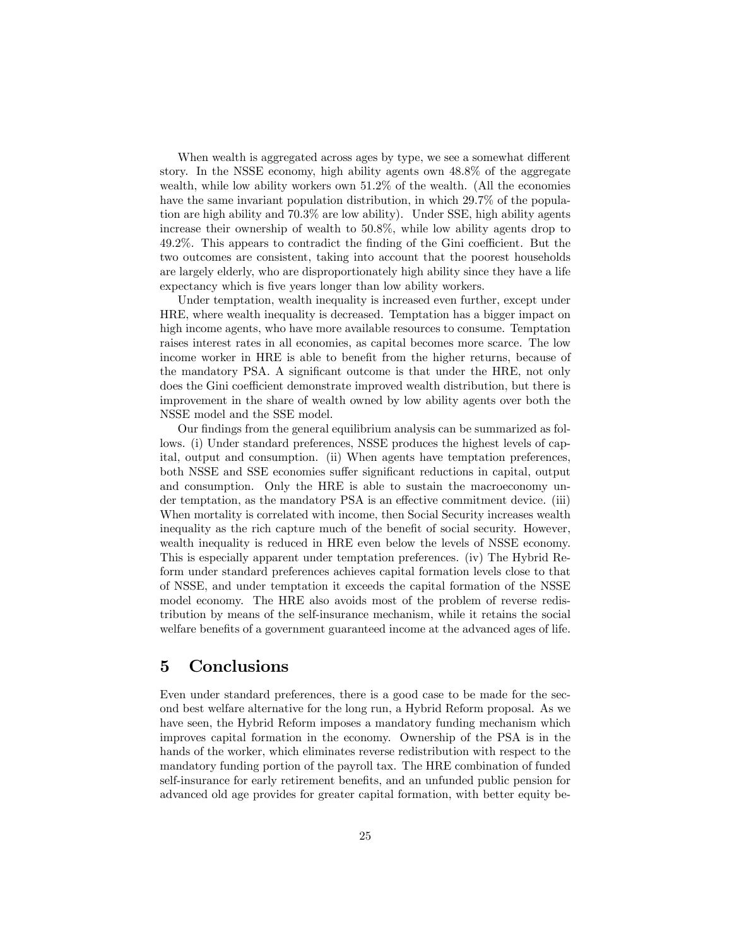When wealth is aggregated across ages by type, we see a somewhat different story. In the NSSE economy, high ability agents own 48:8% of the aggregate wealth, while low ability workers own  $51.2\%$  of the wealth. (All the economies have the same invariant population distribution, in which 29:7% of the population are high ability and 70:3% are low ability). Under SSE, high ability agents increase their ownership of wealth to 50:8%, while low ability agents drop to  $49.2\%$ . This appears to contradict the finding of the Gini coefficient. But the two outcomes are consistent, taking into account that the poorest households are largely elderly, who are disproportionately high ability since they have a life expectancy which is five years longer than low ability workers.

Under temptation, wealth inequality is increased even further, except under HRE, where wealth inequality is decreased. Temptation has a bigger impact on high income agents, who have more available resources to consume. Temptation raises interest rates in all economies, as capital becomes more scarce. The low income worker in HRE is able to benefit from the higher returns, because of the mandatory PSA. A significant outcome is that under the HRE, not only does the Gini coefficient demonstrate improved wealth distribution, but there is improvement in the share of wealth owned by low ability agents over both the NSSE model and the SSE model.

Our findings from the general equilibrium analysis can be summarized as follows. (i) Under standard preferences, NSSE produces the highest levels of capital, output and consumption. (ii) When agents have temptation preferences, both NSSE and SSE economies suffer significant reductions in capital, output and consumption. Only the HRE is able to sustain the macroeconomy under temptation, as the mandatory PSA is an effective commitment device. (iii) When mortality is correlated with income, then Social Security increases wealth inequality as the rich capture much of the benefit of social security. However, wealth inequality is reduced in HRE even below the levels of NSSE economy. This is especially apparent under temptation preferences. (iv) The Hybrid Reform under standard preferences achieves capital formation levels close to that of NSSE, and under temptation it exceeds the capital formation of the NSSE model economy. The HRE also avoids most of the problem of reverse redistribution by means of the self-insurance mechanism, while it retains the social welfare benefits of a government guaranteed income at the advanced ages of life.

# 5 Conclusions

Even under standard preferences, there is a good case to be made for the second best welfare alternative for the long run, a Hybrid Reform proposal. As we have seen, the Hybrid Reform imposes a mandatory funding mechanism which improves capital formation in the economy. Ownership of the PSA is in the hands of the worker, which eliminates reverse redistribution with respect to the mandatory funding portion of the payroll tax. The HRE combination of funded self-insurance for early retirement benefits, and an unfunded public pension for advanced old age provides for greater capital formation, with better equity be-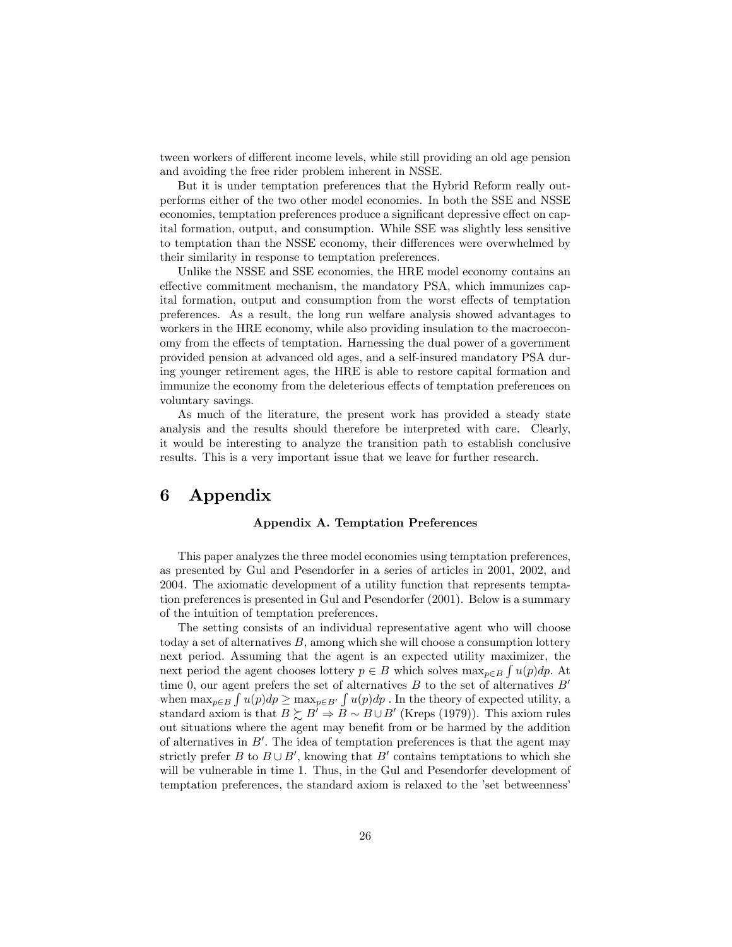tween workers of different income levels, while still providing an old age pension and avoiding the free rider problem inherent in NSSE.

But it is under temptation preferences that the Hybrid Reform really outperforms either of the two other model economies. In both the SSE and NSSE economies, temptation preferences produce a significant depressive effect on capital formation, output, and consumption. While SSE was slightly less sensitive to temptation than the NSSE economy, their differences were overwhelmed by their similarity in response to temptation preferences.

Unlike the NSSE and SSE economies, the HRE model economy contains an effective commitment mechanism, the mandatory PSA, which immunizes capital formation, output and consumption from the worst effects of temptation preferences. As a result, the long run welfare analysis showed advantages to workers in the HRE economy, while also providing insulation to the macroeconomy from the effects of temptation. Harnessing the dual power of a government provided pension at advanced old ages, and a self-insured mandatory PSA during younger retirement ages, the HRE is able to restore capital formation and immunize the economy from the deleterious effects of temptation preferences on voluntary savings.

As much of the literature, the present work has provided a steady state analysis and the results should therefore be interpreted with care. Clearly, it would be interesting to analyze the transition path to establish conclusive results. This is a very important issue that we leave for further research.

# 6 Appendix

#### Appendix A. Temptation Preferences

This paper analyzes the three model economies using temptation preferences, as presented by Gul and Pesendorfer in a series of articles in 2001, 2002, and 2004. The axiomatic development of a utility function that represents temptation preferences is presented in Gul and Pesendorfer (2001). Below is a summary of the intuition of temptation preferences.

The setting consists of an individual representative agent who will choose today a set of alternatives B, among which she will choose a consumption lottery next period. Assuming that the agent is an expected utility maximizer, the next period the agent chooses lottery  $p \in B$  which solves  $\max_{p \in B} \int u(p) dp$ . At time 0, our agent prefers the set of alternatives  $B$  to the set of alternatives  $B'$ when  $\max_{p\in B} \int u(p)dp \ge \max_{p\in B'} \int u(p)dp$ . In the theory of expected utility, a standard axiom is that  $B \succsim B' \Rightarrow B \sim B \cup B'$  (Kreps (1979)). This axiom rules out situations where the agent may benefit from or be harmed by the addition of alternatives in  $B'$ . The idea of temptation preferences is that the agent may strictly prefer B to  $B \cup B'$ , knowing that B' contains temptations to which she will be vulnerable in time 1. Thus, in the Gul and Pesendorfer development of temptation preferences, the standard axiom is relaxed to the 'set betweenness'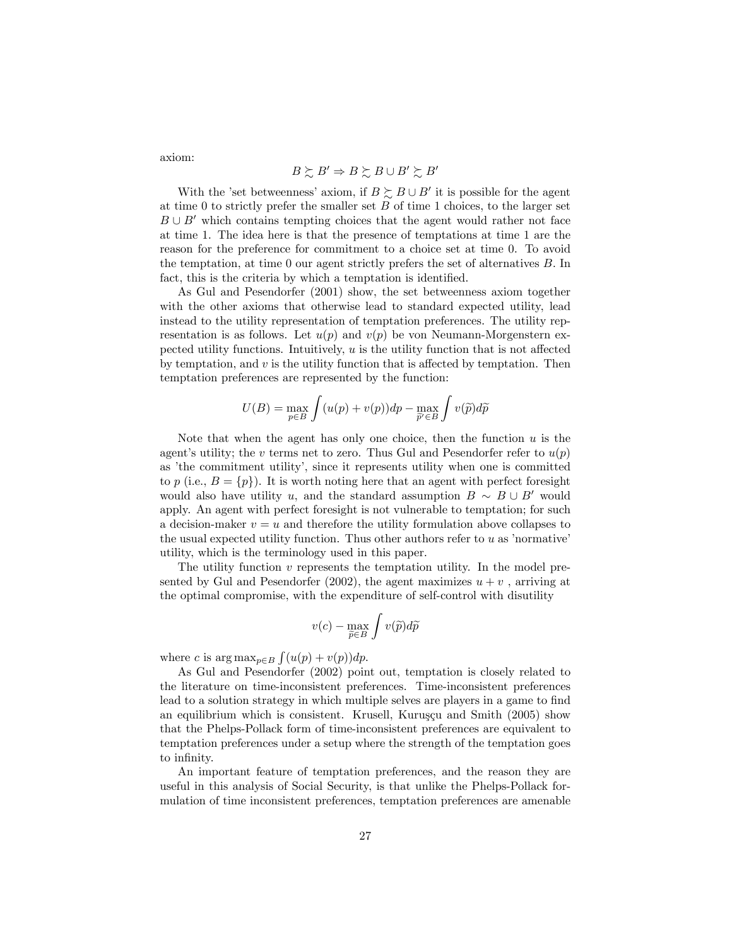axiom:

$$
B \succsim B' \Rightarrow B \succsim B \cup B' \succsim B'
$$

With the 'set betweenness' axiom, if  $B \succeq B \cup B'$  it is possible for the agent at time 0 to strictly prefer the smaller set  $B$  of time 1 choices, to the larger set  $B \cup B'$  which contains tempting choices that the agent would rather not face at time 1. The idea here is that the presence of temptations at time 1 are the reason for the preference for commitment to a choice set at time 0. To avoid the temptation, at time  $0$  our agent strictly prefers the set of alternatives  $B$ . In fact, this is the criteria by which a temptation is identified.

As Gul and Pesendorfer (2001) show, the set betweenness axiom together with the other axioms that otherwise lead to standard expected utility, lead instead to the utility representation of temptation preferences. The utility representation is as follows. Let  $u(p)$  and  $v(p)$  be von Neumann-Morgenstern expected utility functions. Intuitively,  $u$  is the utility function that is not affected by temptation, and  $v$  is the utility function that is affected by temptation. Then temptation preferences are represented by the function:

$$
U(B) = \max_{p \in B} \int (u(p) + v(p))dp - \max_{\widetilde{p}' \in B} \int v(\widetilde{p})d\widetilde{p}
$$

Note that when the agent has only one choice, then the function  $u$  is the agent's utility; the v terms net to zero. Thus Gul and Pesendorfer refer to  $u(p)$ as 'the commitment utility', since it represents utility when one is committed to p (i.e.,  $B = \{p\}$ ). It is worth noting here that an agent with perfect foresight would also have utility u, and the standard assumption  $B \sim B \cup B'$  would apply. An agent with perfect foresight is not vulnerable to temptation; for such a decision-maker  $v = u$  and therefore the utility formulation above collapses to the usual expected utility function. Thus other authors refer to  $u$  as 'normative' utility, which is the terminology used in this paper.

The utility function v represents the temptation utility. In the model presented by Gul and Pesendorfer (2002), the agent maximizes  $u + v$ , arriving at the optimal compromise, with the expenditure of self-control with disutility

$$
v(c) - \max_{\widetilde{p} \in B} \int v(\widetilde{p}) d\widetilde{p}
$$

where c is  $\arg \max_{p \in B} \int (u(p) + v(p)) dp$ .

As Gul and Pesendorfer (2002) point out, temptation is closely related to the literature on time-inconsistent preferences. Time-inconsistent preferences lead to a solution strategy in which multiple selves are players in a game to find an equilibrium which is consistent. Krusell, Kuruşçu and Smith  $(2005)$  show that the Phelps-Pollack form of time-inconsistent preferences are equivalent to temptation preferences under a setup where the strength of the temptation goes to infinity.

An important feature of temptation preferences, and the reason they are useful in this analysis of Social Security, is that unlike the Phelps-Pollack formulation of time inconsistent preferences, temptation preferences are amenable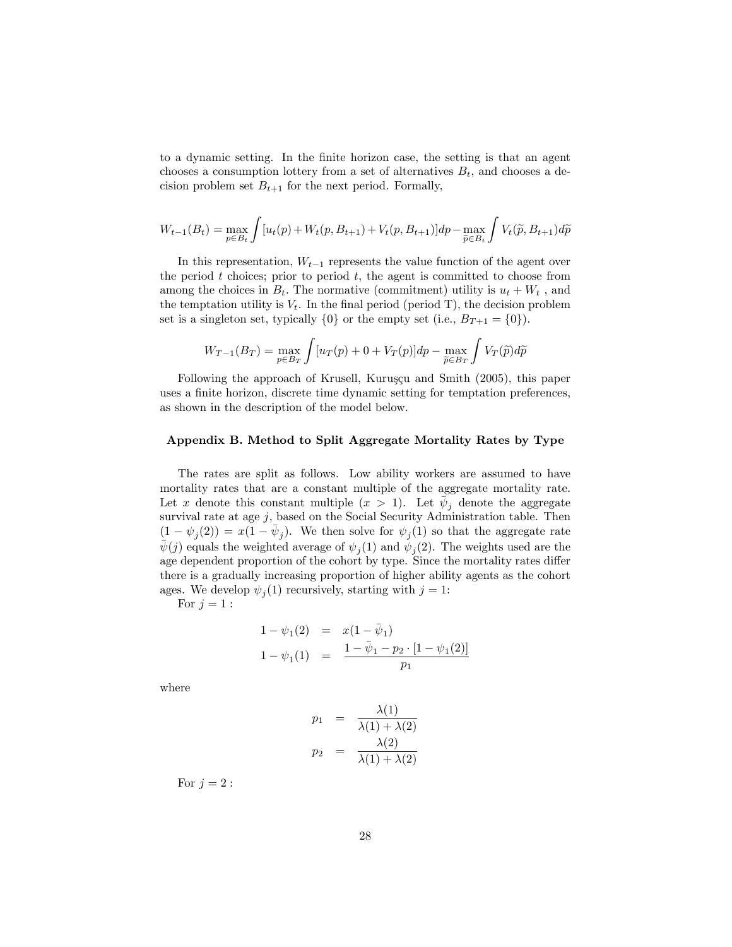to a dynamic setting. In the finite horizon case, the setting is that an agent chooses a consumption lottery from a set of alternatives  $B_t$ , and chooses a decision problem set  $B_{t+1}$  for the next period. Formally,

$$
W_{t-1}(B_t) = \max_{p \in B_t} \int [u_t(p) + W_t(p, B_{t+1}) + V_t(p, B_{t+1})] dp - \max_{\widetilde{p} \in B_t} \int V_t(\widetilde{p}, B_{t+1}) d\widetilde{p}
$$

In this representation,  $W_{t-1}$  represents the value function of the agent over the period  $t$  choices; prior to period  $t$ , the agent is committed to choose from among the choices in  $B_t$ . The normative (commitment) utility is  $u_t + W_t$ , and the temptation utility is  $V_t$ . In the final period (period T), the decision problem set is a singleton set, typically  $\{0\}$  or the empty set (i.e.,  $B_{T+1} = \{0\}$ ).

$$
W_{T-1}(B_T) = \max_{p \in B_T} \int [u_T(p) + 0 + V_T(p)]dp - \max_{\tilde{p} \in B_T} \int V_T(\tilde{p})d\tilde{p}
$$

Following the approach of Krusell, Kuruşçu and Smith (2005), this paper uses a finite horizon, discrete time dynamic setting for temptation preferences, as shown in the description of the model below.

#### Appendix B. Method to Split Aggregate Mortality Rates by Type

The rates are split as follows. Low ability workers are assumed to have mortality rates that are a constant multiple of the aggregate mortality rate. Let x denote this constant multiple  $(x > 1)$ . Let  $\bar{\psi}_j$  denote the aggregate survival rate at age  $j$ , based on the Social Security Administration table. Then  $(1 - \psi_j(2)) = x(1 - \bar{\psi}_j)$ . We then solve for  $\psi_j(1)$  so that the aggregate rate  $\bar{\psi}(j)$  equals the weighted average of  $\psi_j(1)$  and  $\psi_j(2)$ . The weights used are the age dependent proportion of the cohort by type. Since the mortality rates differ there is a gradually increasing proportion of higher ability agents as the cohort ages. We develop  $\psi_j(1)$  recursively, starting with  $j = 1$ :

For  $j = 1$  :

$$
1 - \psi_1(2) = x(1 - \bar{\psi}_1)
$$
  
\n
$$
1 - \psi_1(1) = \frac{1 - \bar{\psi}_1 - p_2 \cdot [1 - \psi_1(2)]}{p_1}
$$

where

$$
p_1 = \frac{\lambda(1)}{\lambda(1) + \lambda(2)}
$$
  

$$
p_2 = \frac{\lambda(2)}{\lambda(1) + \lambda(2)}
$$

For  $j = 2$ :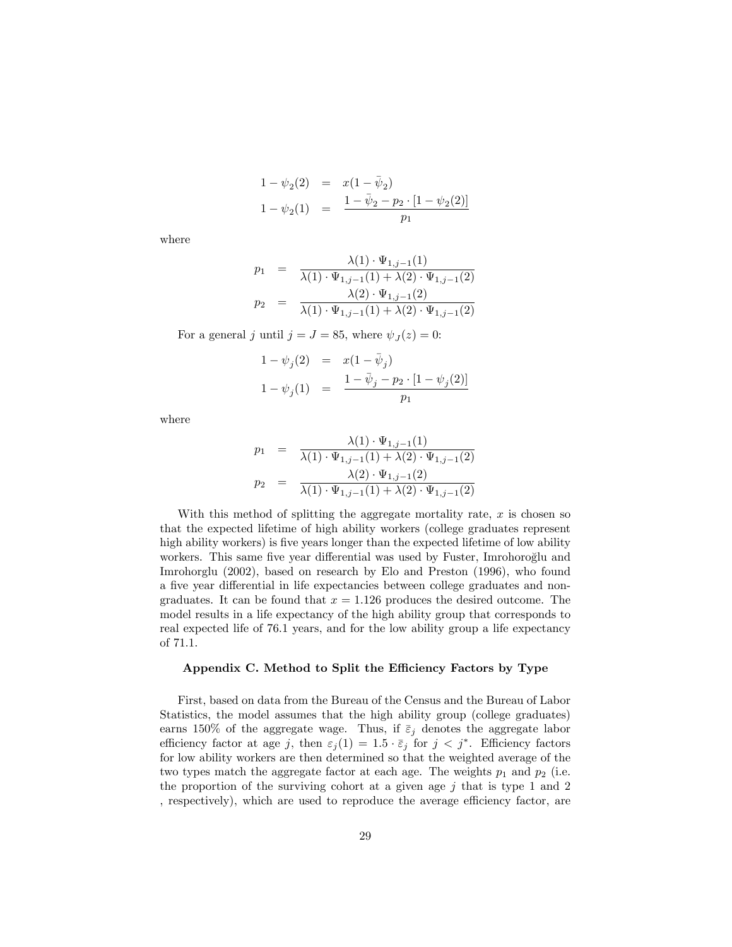$$
1 - \psi_2(2) = x(1 - \bar{\psi}_2)
$$
  
\n
$$
1 - \psi_2(1) = \frac{1 - \bar{\psi}_2 - p_2 \cdot [1 - \psi_2(2)]}{p_1}
$$

where

$$
p_1 = \frac{\lambda(1) \cdot \Psi_{1,j-1}(1)}{\lambda(1) \cdot \Psi_{1,j-1}(1) + \lambda(2) \cdot \Psi_{1,j-1}(2)}
$$
  
\n
$$
p_2 = \frac{\lambda(2) \cdot \Psi_{1,j-1}(2)}{\lambda(1) \cdot \Psi_{1,j-1}(1) + \lambda(2) \cdot \Psi_{1,j-1}(2)}
$$

For a general j until  $j = J = 85$ , where  $\psi_J(z) = 0$ :

$$
1 - \psi_j(2) = x(1 - \bar{\psi}_j)
$$
  
\n
$$
1 - \psi_j(1) = \frac{1 - \bar{\psi}_j - p_2 \cdot [1 - \psi_j(2)]}{p_1}
$$

where

$$
p_1 = \frac{\lambda(1) \cdot \Psi_{1,j-1}(1)}{\lambda(1) \cdot \Psi_{1,j-1}(1) + \lambda(2) \cdot \Psi_{1,j-1}(2)}
$$
  

$$
p_2 = \frac{\lambda(2) \cdot \Psi_{1,j-1}(2)}{\lambda(1) \cdot \Psi_{1,j-1}(1) + \lambda(2) \cdot \Psi_{1,j-1}(2)}
$$

With this method of splitting the aggregate mortality rate,  $x$  is chosen so that the expected lifetime of high ability workers (college graduates represent high ability workers) is five years longer than the expected lifetime of low ability workers. This same five year differential was used by Fuster, Imrohoroglu and Imrohorglu (2002), based on research by Elo and Preston (1996), who found a five year differential in life expectancies between college graduates and nongraduates. It can be found that  $x = 1.126$  produces the desired outcome. The model results in a life expectancy of the high ability group that corresponds to real expected life of 76:1 years, and for the low ability group a life expectancy of 71:1.

#### Appendix C. Method to Split the Efficiency Factors by Type

First, based on data from the Bureau of the Census and the Bureau of Labor Statistics, the model assumes that the high ability group (college graduates) earns 150% of the aggregate wage. Thus, if  $\bar{\varepsilon}_j$  denotes the aggregate labor efficiency factor at age j, then  $\varepsilon_j(1) = 1.5 \cdot \bar{\varepsilon}_j$  for  $j < j^*$ . Efficiency factors for low ability workers are then determined so that the weighted average of the two types match the aggregate factor at each age. The weights  $p_1$  and  $p_2$  (i.e. the proportion of the surviving cohort at a given age  $j$  that is type 1 and 2 , respectively), which are used to reproduce the average efficiency factor, are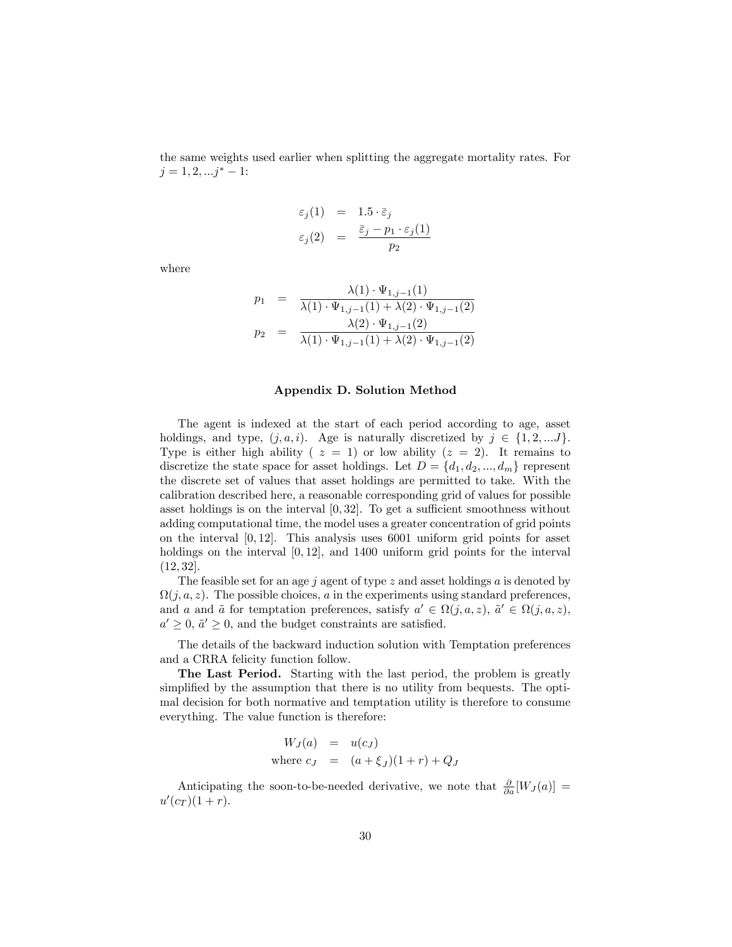the same weights used earlier when splitting the aggregate mortality rates. For  $j = 1, 2, \ldots j^* - 1$ :

$$
\varepsilon_j(1) = 1.5 \cdot \bar{\varepsilon}_j
$$
  

$$
\varepsilon_j(2) = \frac{\bar{\varepsilon}_j - p_1 \cdot \varepsilon_j(1)}{p_2}
$$

where

$$
p_1 = \frac{\lambda(1) \cdot \Psi_{1,j-1}(1)}{\lambda(1) \cdot \Psi_{1,j-1}(1) + \lambda(2) \cdot \Psi_{1,j-1}(2)}
$$
  

$$
p_2 = \frac{\lambda(2) \cdot \Psi_{1,j-1}(2)}{\lambda(1) \cdot \Psi_{1,j-1}(1) + \lambda(2) \cdot \Psi_{1,j-1}(2)}
$$

#### Appendix D. Solution Method

The agent is indexed at the start of each period according to age, asset holdings, and type,  $(j, a, i)$ . Age is naturally discretized by  $j \in \{1, 2, ...J\}$ . Type is either high ability ( $z = 1$ ) or low ability ( $z = 2$ ). It remains to discretize the state space for asset holdings. Let  $D = \{d_1, d_2, ..., d_m\}$  represent the discrete set of values that asset holdings are permitted to take. With the calibration described here, a reasonable corresponding grid of values for possible asset holdings is on the interval  $[0, 32]$ . To get a sufficient smoothness without adding computational time, the model uses a greater concentration of grid points on the interval  $[0, 12]$ . This analysis uses 6001 uniform grid points for asset holdings on the interval [0,12], and 1400 uniform grid points for the interval  $(12, 32]$ .

The feasible set for an age j agent of type z and asset holdings a is denoted by  $\Omega(j, a, z)$ . The possible choices, a in the experiments using standard preferences, and a and a for temptation preferences, satisfy  $a' \in \Omega(j, a, z)$ ,  $\tilde{a}' \in \Omega(j, a, z)$ ,  $a' \geq 0$ ,  $\tilde{a}' \geq 0$ , and the budget constraints are satisfied.

The details of the backward induction solution with Temptation preferences and a CRRA felicity function follow.

The Last Period. Starting with the last period, the problem is greatly simplified by the assumption that there is no utility from bequests. The optimal decision for both normative and temptation utility is therefore to consume everything. The value function is therefore:

$$
W_J(a) = u(c_J)
$$
  
where  $c_J = (a + \xi_J)(1+r) + Q_J$ 

Anticipating the soon-to-be-needed derivative, we note that  $\frac{\partial}{\partial a}[W_J(a)] =$  $u'(c_T)(1+r)$ .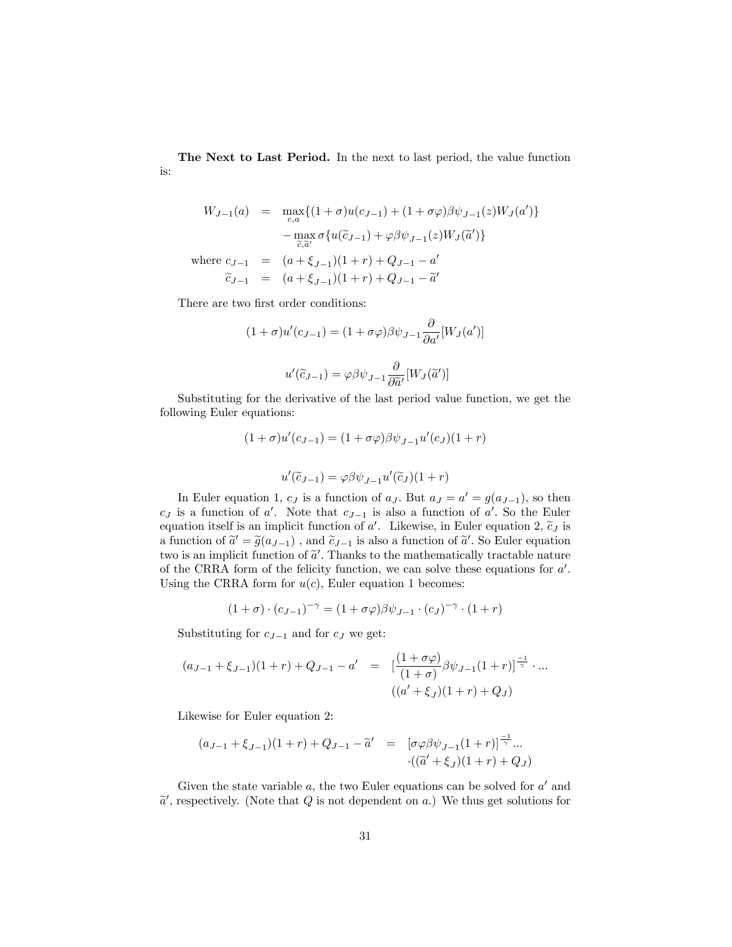The Next to Last Period. In the next to last period, the value function is:

$$
W_{J-1}(a) = \max_{c,a} \{ (1+\sigma)u(c_{J-1}) + (1+\sigma\varphi)\beta\psi_{J-1}(z)W_J(a') \}
$$

$$
- \max_{\tilde{c},\tilde{a}'} \sigma \{ u(\tilde{c}_{J-1}) + \varphi\beta\psi_{J-1}(z)W_J(\tilde{a}') \}
$$
  
where  $c_{J-1} = (a+\xi_{J-1})(1+r) + Q_{J-1} - a'$ 
$$
\tilde{c}_{J-1} = (a+\xi_{J-1})(1+r) + Q_{J-1} - \tilde{a}'
$$

There are two first order conditions:

$$
(1+\sigma)u'(c_{J-1}) = (1+\sigma\varphi)\beta\psi_{J-1}\frac{\partial}{\partial a'}[W_J(a')]
$$

$$
u'(\tilde{c}_{J-1}) = \varphi\beta\psi_{J-1}\frac{\partial}{\partial \tilde{a}'}[W_J(\tilde{a}')]
$$

Substituting for the derivative of the last period value function, we get the following Euler equations:

$$
(1 + \sigma)u'(c_{J-1}) = (1 + \sigma\varphi)\beta\psi_{J-1}u'(c_J)(1+r)
$$

$$
u'(\tilde{c}_{J-1}) = \varphi\beta\psi_{J-1}u'(\tilde{c}_J)(1+r)
$$

In Euler equation 1,  $c_J$  is a function of  $a_J$ . But  $a_J = a' = g(a_{J-1})$ , so then  $c_J$  is a function of a'. Note that  $c_{J-1}$  is also a function of a'. So the Euler equation itself is an implicit function of a'. Likewise, in Euler equation 2,  $\tilde{c}_j$  is a function of  $\tilde{a}' = \tilde{g}(a_{J-1})$ , and  $\tilde{c}_{J-1}$  is also a function of  $\tilde{a}'$ . So Euler equation two is an implicit function of  $\tilde{a}'$ . Thanks to the mathematically tractable nature of the CRRA form of the felicity function, we can solve these equations for  $a'$ . Using the CRRA form for  $u(c)$ , Euler equation 1 becomes:

$$
(1+\sigma)\cdot(c_{J-1})^{-\gamma}=(1+\sigma\varphi)\beta\psi_{J-1}\cdot(c_J)^{-\gamma}\cdot(1+r)
$$

Substituting for  $c_{J-1}$  and for  $c_J$  we get:

$$
(a_{J-1} + \xi_{J-1})(1+r) + Q_{J-1} - a' = \left[ \frac{(1+\sigma\varphi)}{(1+\sigma)} \beta \psi_{J-1}(1+r) \right]^{-1} \cdots
$$

$$
((a' + \xi_J)(1+r) + Q_J)
$$

Likewise for Euler equation 2:

$$
(a_{J-1} + \xi_{J-1})(1+r) + Q_{J-1} - \tilde{a}' = [\sigma \varphi \beta \psi_{J-1}(1+r)]^{-1} ...
$$

$$
\cdot ((\tilde{a}' + \xi_{J})(1+r) + Q_{J})
$$

Given the state variable  $a$ , the two Euler equations can be solved for  $a'$  and  $\tilde{a}'$ , respectively. (Note that Q is not dependent on a.) We thus get solutions for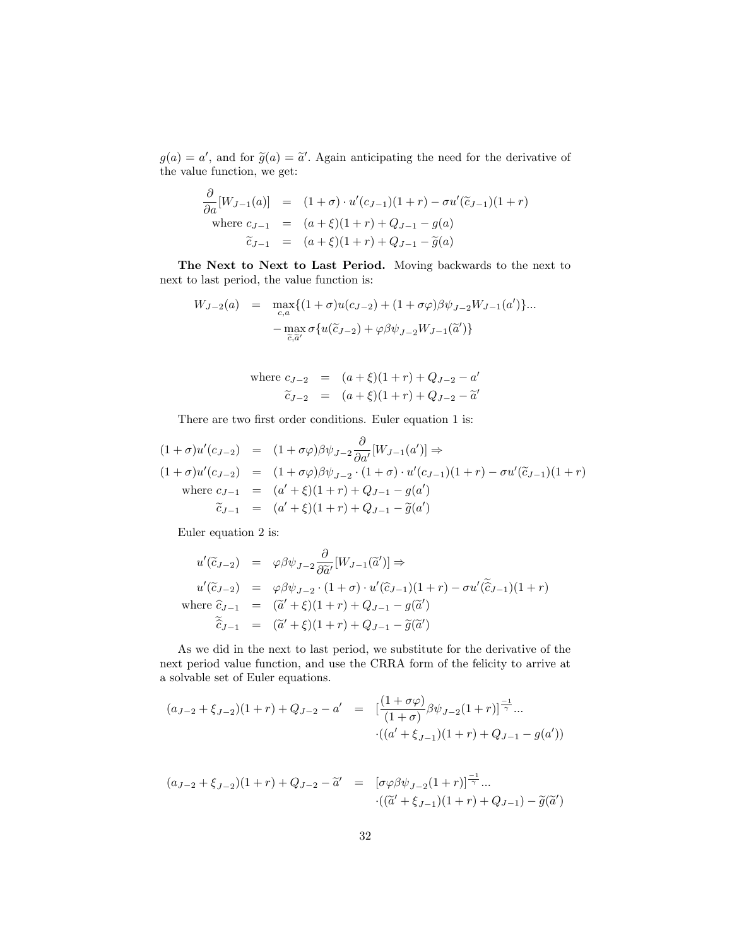$g(a) = a'$ , and for  $\tilde{g}(a) = \tilde{a}'$ . Again anticipating the need for the derivative of the value function, we get:

$$
\frac{\partial}{\partial a}[W_{J-1}(a)] = (1+\sigma) \cdot u'(c_{J-1})(1+r) - \sigma u'(\tilde{c}_{J-1})(1+r)
$$
\nwhere  $c_{J-1} = (a+\xi)(1+r) + Q_{J-1} - g(a)$   
\n $\tilde{c}_{J-1} = (a+\xi)(1+r) + Q_{J-1} - \tilde{g}(a)$ 

The Next to Next to Last Period. Moving backwards to the next to next to last period, the value function is:

$$
W_{J-2}(a) = \max_{c,a} \{ (1+\sigma)u(c_{J-2}) + (1+\sigma\varphi)\beta\psi_{J-2}W_{J-1}(a') \} ...
$$

$$
-\max_{\tilde{c},\tilde{a}'} \sigma \{ u(\tilde{c}_{J-2}) + \varphi\beta\psi_{J-2}W_{J-1}(\tilde{a}') \}
$$

where 
$$
c_{J-2} = (a+\xi)(1+r) + Q_{J-2} - a'
$$
  
\n $\tilde{c}_{J-2} = (a+\xi)(1+r) + Q_{J-2} - \tilde{a}'$ 

There are two first order conditions. Euler equation 1 is:

$$
(1 + \sigma)u'(c_{J-2}) = (1 + \sigma\varphi)\beta\psi_{J-2}\frac{\partial}{\partial a'}[W_{J-1}(a')] \Rightarrow
$$
  
\n
$$
(1 + \sigma)u'(c_{J-2}) = (1 + \sigma\varphi)\beta\psi_{J-2} \cdot (1 + \sigma) \cdot u'(c_{J-1})(1 + r) - \sigma u'(\tilde{c}_{J-1})(1 + r)
$$
  
\nwhere  $c_{J-1} = (a' + \xi)(1 + r) + Q_{J-1} - g(a')$   
\n $\tilde{c}_{J-1} = (a' + \xi)(1 + r) + Q_{J-1} - \tilde{g}(a')$ 

Euler equation 2 is:

$$
u'(\tilde{c}_{J-2}) = \varphi \beta \psi_{J-2} \frac{\partial}{\partial \tilde{a}'} [W_{J-1}(\tilde{a}')] \Rightarrow
$$
  
\n
$$
u'(\tilde{c}_{J-2}) = \varphi \beta \psi_{J-2} \cdot (1+\sigma) \cdot u'(\hat{c}_{J-1})(1+r) - \sigma u'(\tilde{\hat{c}}_{J-1})(1+r)
$$
  
\nwhere  $\hat{c}_{J-1} = (\tilde{a}' + \xi)(1+r) + Q_{J-1} - g(\tilde{a}')$   
\n
$$
\tilde{\hat{c}}_{J-1} = (\tilde{a}' + \xi)(1+r) + Q_{J-1} - \tilde{g}(\tilde{a}')
$$

As we did in the next to last period, we substitute for the derivative of the next period value function, and use the CRRA form of the felicity to arrive at a solvable set of Euler equations.

$$
(a_{J-2} + \xi_{J-2})(1+r) + Q_{J-2} - a' = \left[ \frac{(1+\sigma\varphi)}{(1+\sigma)} \beta \psi_{J-2}(1+r) \right]^{\frac{-1}{\gamma}} ... \n\cdot ((a' + \xi_{J-1})(1+r) + Q_{J-1} - g(a'))
$$

$$
(a_{J-2} + \xi_{J-2})(1+r) + Q_{J-2} - \tilde{a}' = [\sigma\varphi\beta\psi_{J-2}(1+r)]^{-1} ...
$$
  

$$
\cdot ((\tilde{a}' + \xi_{J-1})(1+r) + Q_{J-1}) - \tilde{g}(\tilde{a}')
$$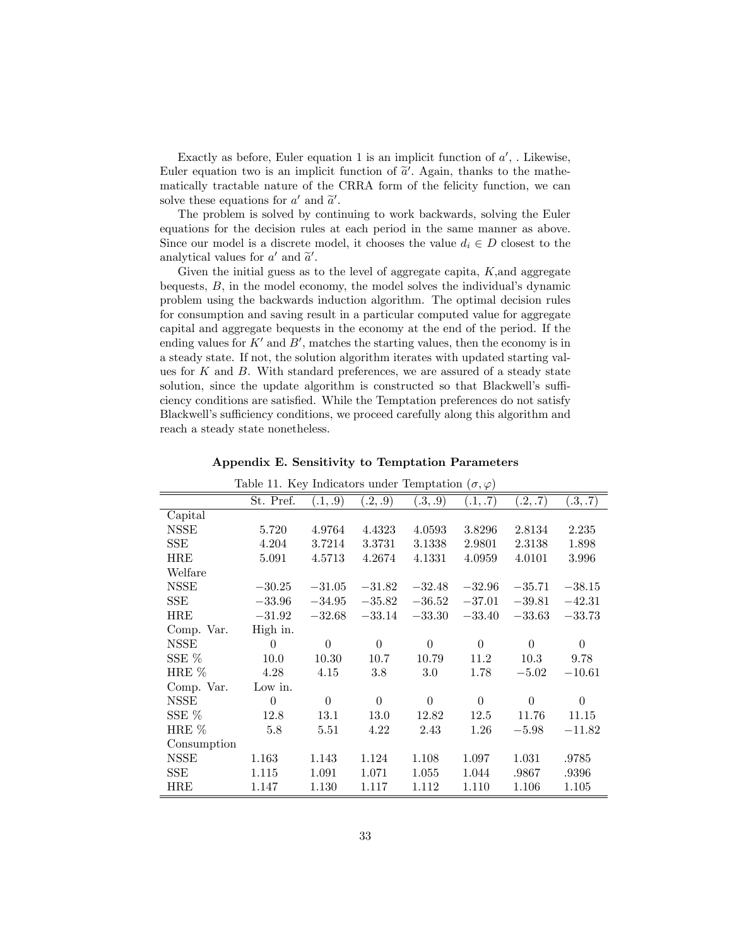Exactly as before, Euler equation 1 is an implicit function of  $a'$ , . Likewise, Euler equation two is an implicit function of  $\tilde{a}'$ . Again, thanks to the mathematically tractable nature of the CRRA form of the felicity function, we can solve these equations for  $a'$  and  $\tilde{a}'$ .

The problem is solved by continuing to work backwards, solving the Euler equations for the decision rules at each period in the same manner as above. Since our model is a discrete model, it chooses the value  $d_i \in D$  closest to the analytical values for  $a'$  and  $\tilde{a}'$ .

Given the initial guess as to the level of aggregate capita,  $K$ , and aggregate bequests,  $B$ , in the model economy, the model solves the individual's dynamic problem using the backwards induction algorithm. The optimal decision rules for consumption and saving result in a particular computed value for aggregate capital and aggregate bequests in the economy at the end of the period. If the ending values for  $K'$  and  $B'$ , matches the starting values, then the economy is in a steady state. If not, the solution algorithm iterates with updated starting values for  $K$  and  $B$ . With standard preferences, we are assured of a steady state solution, since the update algorithm is constructed so that Blackwell's sufficiency conditions are satisfied. While the Temptation preferences do not satisfy Blackwell's sufficiency conditions, we proceed carefully along this algorithm and reach a steady state nonetheless.

| Table 11. Key Indicators under Temptation $(\sigma, \varphi)$ |           |                |          |          |          |           |                |
|---------------------------------------------------------------|-----------|----------------|----------|----------|----------|-----------|----------------|
|                                                               | St. Pref. | (.1, .9)       | (.2, .9) | (.3, .9) | (.1, .7) | (0.2, .7) | (0.3, .7)      |
| Capital                                                       |           |                |          |          |          |           |                |
| NSSE                                                          | 5.720     | 4.9764         | 4.4323   | 4.0593   | 3.8296   | 2.8134    | 2.235          |
| SSE                                                           | 4.204     | 3.7214         | 3.3731   | 3.1338   | 2.9801   | 2.3138    | 1.898          |
| HRE                                                           | 5.091     | 4.5713         | 4.2674   | 4.1331   | 4.0959   | 4.0101    | 3.996          |
| Welfare                                                       |           |                |          |          |          |           |                |
| NSSE                                                          | $-30.25$  | $-31.05$       | $-31.82$ | $-32.48$ | $-32.96$ | $-35.71$  | $-38.15$       |
| SSE                                                           | $-33.96$  | $-34.95$       | $-35.82$ | $-36.52$ | $-37.01$ | $-39.81$  | $-42.31$       |
| HRE                                                           | $-31.92$  | $-32.68$       | $-33.14$ | $-33.30$ | $-33.40$ | $-33.63$  | $-33.73$       |
| Comp. Var.                                                    | High in.  |                |          |          |          |           |                |
| NSSE                                                          | $\Omega$  | $\overline{0}$ | $\theta$ | $\Omega$ | $\theta$ | $\theta$  | $\overline{0}$ |
| SSE %                                                         | 10.0      | 10.30          | 10.7     | 10.79    | 11.2     | 10.3      | 9.78           |
| HRE %                                                         | 4.28      | 4.15           | 3.8      | 3.0      | 1.78     | $-5.02$   | $-10.61$       |
| Comp. Var.                                                    | Low in.   |                |          |          |          |           |                |
| NSSE                                                          | $\theta$  | $\theta$       | $\theta$ | $\Omega$ | $\theta$ | $\theta$  | $\overline{0}$ |
| SSE $%$                                                       | 12.8      | 13.1           | 13.0     | 12.82    | 12.5     | 11.76     | 11.15          |
| HRE $%$                                                       | 5.8       | 5.51           | 4.22     | 2.43     | 1.26     | $-5.98$   | $-11.82$       |
| Consumption                                                   |           |                |          |          |          |           |                |
| <b>NSSE</b>                                                   | 1.163     | 1.143          | 1.124    | 1.108    | 1.097    | 1.031     | .9785          |
| <b>SSE</b>                                                    | 1.115     | 1.091          | 1.071    | 1.055    | 1.044    | .9867     | .9396          |
| HRE                                                           | 1.147     | $1.130\,$      | 1.117    | 1.112    | 1.110    | 1.106     | 1.105          |

Appendix E. Sensitivity to Temptation Parameters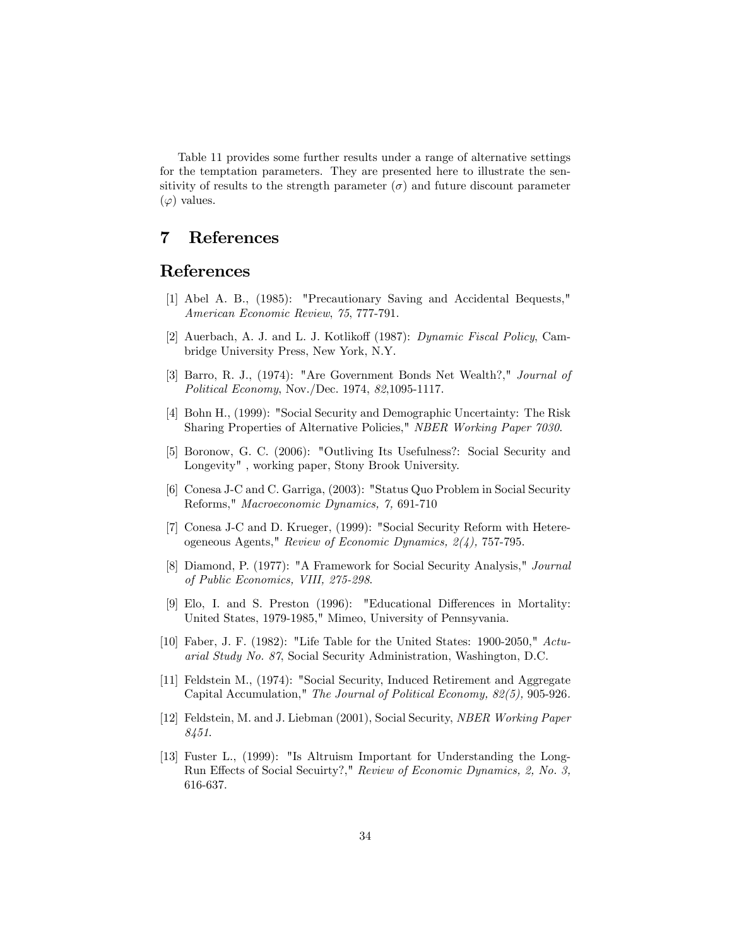Table 11 provides some further results under a range of alternative settings for the temptation parameters. They are presented here to illustrate the sensitivity of results to the strength parameter  $(\sigma)$  and future discount parameter  $(\varphi)$  values.

# 7 References

# References

- [1] Abel A. B., (1985): "Precautionary Saving and Accidental Bequests," American Economic Review, 75, 777-791.
- [2] Auerbach, A. J. and L. J. Kotlikoff (1987): *Dynamic Fiscal Policy*, Cambridge University Press, New York, N.Y.
- [3] Barro, R. J., (1974): "Are Government Bonds Net Wealth?," Journal of Political Economy, Nov./Dec. 1974, 82,1095-1117.
- [4] Bohn H., (1999): "Social Security and Demographic Uncertainty: The Risk Sharing Properties of Alternative Policies," NBER Working Paper 7030.
- [5] Boronow, G. C. (2006): "Outliving Its Usefulness?: Social Security and Longevity" , working paper, Stony Brook University.
- [6] Conesa J-C and C. Garriga, (2003): "Status Quo Problem in Social Security Reforms," Macroeconomic Dynamics, 7, 691-710
- [7] Conesa J-C and D. Krueger, (1999): "Social Security Reform with Hetereogeneous Agents," Review of Economic Dynamics, 2(4), 757-795.
- [8] Diamond, P. (1977): "A Framework for Social Security Analysis," Journal of Public Economics, VIII, 275-298.
- [9] Elo, I. and S. Preston (1996): "Educational Differences in Mortality: United States, 1979-1985," Mimeo, University of Pennsyvania.
- [10] Faber, J. F. (1982): "Life Table for the United States: 1900-2050," Actuarial Study No. 87, Social Security Administration, Washington, D.C.
- [11] Feldstein M., (1974): "Social Security, Induced Retirement and Aggregate Capital Accumulation," The Journal of Political Economy, 82(5), 905-926.
- [12] Feldstein, M. and J. Liebman (2001), Social Security, NBER Working Paper 8451.
- [13] Fuster L., (1999): "Is Altruism Important for Understanding the Long-Run Effects of Social Secuirty?," Review of Economic Dynamics, 2, No. 3, 616-637.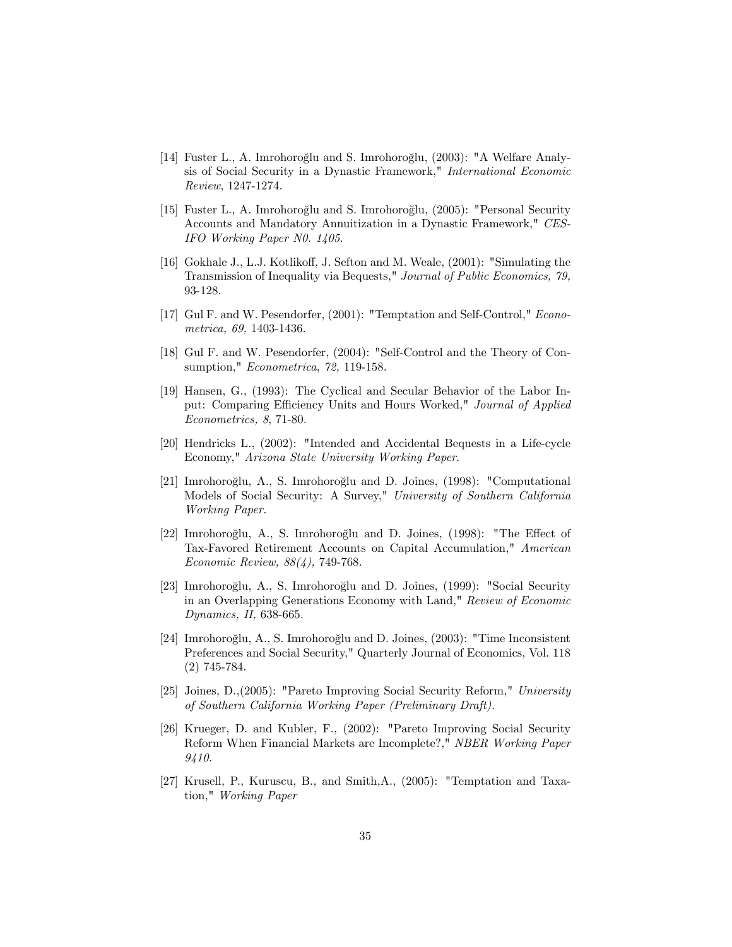- [14] Fuster L., A. Imrohoroğlu and S. Imrohoroğlu,  $(2003)$ : "A Welfare Analysis of Social Security in a Dynastic Framework," International Economic Review, 1247-1274.
- [15] Fuster L., A. Imrohoroğlu and S. Imrohoroğlu, (2005): "Personal Security Accounts and Mandatory Annuitization in a Dynastic Framework," CES-IFO Working Paper N0. 1405.
- [16] Gokhale J., L.J. Kotlikoff, J. Sefton and M. Weale, (2001): "Simulating the Transmission of Inequality via Bequests," Journal of Public Economics, 79, 93-128.
- [17] Gul F. and W. Pesendorfer, (2001): "Temptation and Self-Control," Econometrica, 69, 1403-1436.
- [18] Gul F. and W. Pesendorfer, (2004): "Self-Control and the Theory of Consumption," Econometrica, 72, 119-158.
- [19] Hansen, G., (1993): The Cyclical and Secular Behavior of the Labor Input: Comparing Efficiency Units and Hours Worked," Journal of Applied Econometrics, 8, 71-80.
- [20] Hendricks L., (2002): "Intended and Accidental Bequests in a Life-cycle Economy," Arizona State University Working Paper.
- [21] Imrohoroglu, A., S. Imrohoroglu and D. Joines,  $(1998)$ : "Computational Models of Social Security: A Survey," University of Southern California Working Paper.
- [22] Imrohoroğlu, A., S. Imrohoroğlu and D. Joines,  $(1998)$ : "The Effect of Tax-Favored Retirement Accounts on Capital Accumulation," American Economic Review, 88(4), 749-768.
- [23] Imrohoroğlu, A., S. Imrohoroğlu and D. Joines, (1999): "Social Security in an Overlapping Generations Economy with Land," Review of Economic Dynamics, II, 638-665.
- [24] Imrohoroğlu, A., S. Imrohoroğlu and D. Joines, (2003): "Time Inconsistent Preferences and Social Security," Quarterly Journal of Economics, Vol. 118 (2) 745-784.
- [25] Joines, D.,(2005): "Pareto Improving Social Security Reform," University of Southern California Working Paper (Preliminary Draft).
- [26] Krueger, D. and Kubler, F., (2002): "Pareto Improving Social Security Reform When Financial Markets are Incomplete?," NBER Working Paper 9410.
- [27] Krusell, P., Kuruscu, B., and Smith,A., (2005): "Temptation and Taxation," Working Paper